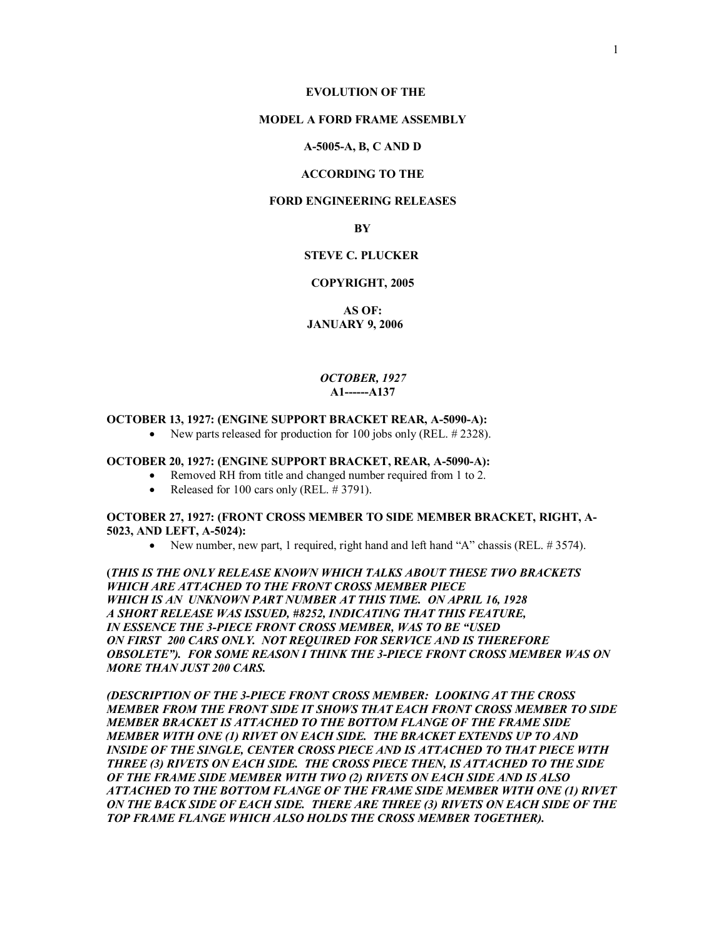#### **MODEL A FORD FRAME ASSEMBLY**

#### **A-5005-A, B, C AND D**

### **ACCORDING TO THE**

# **FORD ENGINEERING RELEASES**

### **BY**

# **STEVE C. PLUCKER**

### **COPYRIGHT, 2005**

**AS OF: JANUARY 9, 2006** 

### *OCTOBER, 1927*  **A1------A137**

# **OCTOBER 13, 1927: (ENGINE SUPPORT BRACKET REAR, A-5090-A):**

• New parts released for production for 100 jobs only (REL. #2328).

### **OCTOBER 20, 1927: (ENGINE SUPPORT BRACKET, REAR, A-5090-A):**

- Removed RH from title and changed number required from 1 to 2.
- Released for 100 cars only (REL.  $\#$  3791).

# **OCTOBER 27, 1927: (FRONT CROSS MEMBER TO SIDE MEMBER BRACKET, RIGHT, A-5023, AND LEFT, A-5024):**

• New number, new part, 1 required, right hand and left hand "A" chassis (REL. #3574).

**(***THIS IS THE ONLY RELEASE KNOWN WHICH TALKS ABOUT THESE TWO BRACKETS WHICH ARE ATTACHED TO THE FRONT CROSS MEMBER PIECE WHICH IS AN UNKNOWN PART NUMBER AT THIS TIME. ON APRIL 16, 1928 A SHORT RELEASE WAS ISSUED, #8252, INDICATING THAT THIS FEATURE, IN ESSENCE THE 3-PIECE FRONT CROSS MEMBER, WAS TO BE "USED ON FIRST 200 CARS ONLY. NOT REQUIRED FOR SERVICE AND IS THEREFORE OBSOLETE"). FOR SOME REASON I THINK THE 3-PIECE FRONT CROSS MEMBER WAS ON MORE THAN JUST 200 CARS.* 

*(DESCRIPTION OF THE 3-PIECE FRONT CROSS MEMBER: LOOKING AT THE CROSS MEMBER FROM THE FRONT SIDE IT SHOWS THAT EACH FRONT CROSS MEMBER TO SIDE MEMBER BRACKET IS ATTACHED TO THE BOTTOM FLANGE OF THE FRAME SIDE MEMBER WITH ONE (1) RIVET ON EACH SIDE. THE BRACKET EXTENDS UP TO AND INSIDE OF THE SINGLE, CENTER CROSS PIECE AND IS ATTACHED TO THAT PIECE WITH THREE (3) RIVETS ON EACH SIDE. THE CROSS PIECE THEN, IS ATTACHED TO THE SIDE OF THE FRAME SIDE MEMBER WITH TWO (2) RIVETS ON EACH SIDE AND IS ALSO ATTACHED TO THE BOTTOM FLANGE OF THE FRAME SIDE MEMBER WITH ONE (1) RIVET ON THE BACK SIDE OF EACH SIDE. THERE ARE THREE (3) RIVETS ON EACH SIDE OF THE TOP FRAME FLANGE WHICH ALSO HOLDS THE CROSS MEMBER TOGETHER).*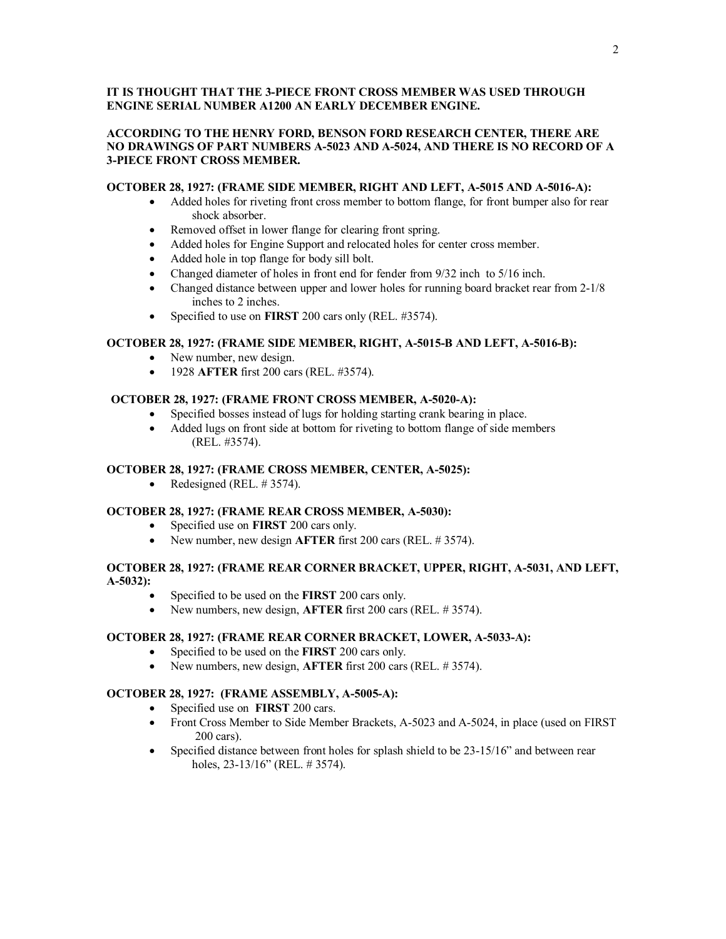# **IT IS THOUGHT THAT THE 3-PIECE FRONT CROSS MEMBER WAS USED THROUGH ENGINE SERIAL NUMBER A1200 AN EARLY DECEMBER ENGINE.**

# **ACCORDING TO THE HENRY FORD, BENSON FORD RESEARCH CENTER, THERE ARE NO DRAWINGS OF PART NUMBERS A-5023 AND A-5024, AND THERE IS NO RECORD OF A 3-PIECE FRONT CROSS MEMBER.**

# **OCTOBER 28, 1927: (FRAME SIDE MEMBER, RIGHT AND LEFT, A-5015 AND A-5016-A):**

- · Added holes for riveting front cross member to bottom flange, for front bumper also for rear shock absorber.
- Removed offset in lower flange for clearing front spring.
- · Added holes for Engine Support and relocated holes for center cross member.
- · Added hole in top flange for body sill bolt.
- Changed diameter of holes in front end for fender from  $9/32$  inch to  $5/16$  inch.
- Changed distance between upper and lower holes for running board bracket rear from 2-1/8 inches to 2 inches.
- · Specified to use on **FIRST** 200 cars only (REL. #3574).

### **OCTOBER 28, 1927: (FRAME SIDE MEMBER, RIGHT, A-5015-B AND LEFT, A-5016-B):**

- New number, new design.
- · 1928 **AFTER** first 200 cars (REL. #3574).

### **OCTOBER 28, 1927: (FRAME FRONT CROSS MEMBER, A-5020-A):**

- · Specified bosses instead of lugs for holding starting crank bearing in place.
- Added lugs on front side at bottom for riveting to bottom flange of side members (REL. #3574).

# **OCTOBER 28, 1927: (FRAME CROSS MEMBER, CENTER, A-5025):**

Redesigned (REL.  $\#$  3574).

### **OCTOBER 28, 1927: (FRAME REAR CROSS MEMBER, A-5030):**

- · Specified use on **FIRST** 200 cars only.
- · New number, new design **AFTER** first 200 cars (REL. # 3574).

# **OCTOBER 28, 1927: (FRAME REAR CORNER BRACKET, UPPER, RIGHT, A-5031, AND LEFT, A-5032):**

- Specified to be used on the **FIRST** 200 cars only.
- · New numbers, new design, **AFTER** first 200 cars (REL. # 3574).

### **OCTOBER 28, 1927: (FRAME REAR CORNER BRACKET, LOWER, A-5033-A):**

- · Specified to be used on the **FIRST** 200 cars only.
- · New numbers, new design, **AFTER** first 200 cars (REL. # 3574).

# **OCTOBER 28, 1927: (FRAME ASSEMBLY, A-5005-A):**

- · Specified use on **FIRST** 200 cars.
- Front Cross Member to Side Member Brackets, A-5023 and A-5024, in place (used on FIRST 200 cars).
- Specified distance between front holes for splash shield to be 23-15/16" and between rear holes, 23-13/16" (REL. # 3574).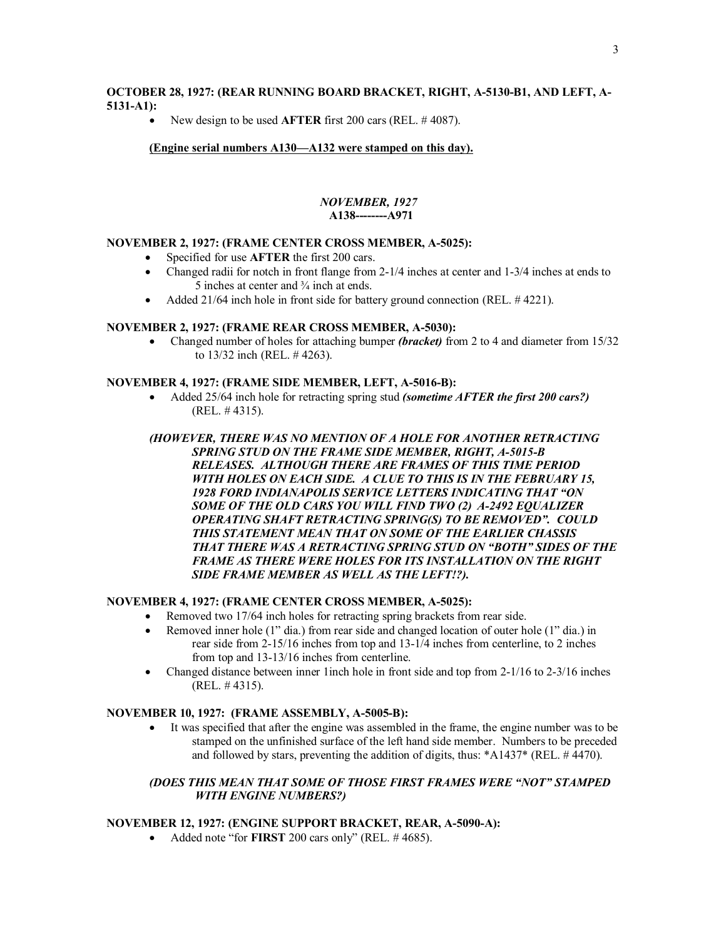# **OCTOBER 28, 1927: (REAR RUNNING BOARD BRACKET, RIGHT, A-5130-B1, AND LEFT, A-5131-A1):**

· New design to be used **AFTER** first 200 cars (REL. # 4087).

# **(Engine serial numbers A130—A132 were stamped on this day).**

# *NOVEMBER, 1927*   **A138--------A971**

### **NOVEMBER 2, 1927: (FRAME CENTER CROSS MEMBER, A-5025):**

- Specified for use **AFTER** the first 200 cars.
- · Changed radii for notch in front flange from 2-1/4 inches at center and 1-3/4 inches at ends to 5 inches at center and ¾ inch at ends.
- Added 21/64 inch hole in front side for battery ground connection (REL. #4221).

### **NOVEMBER 2, 1927: (FRAME REAR CROSS MEMBER, A-5030):**

· Changed number of holes for attaching bumper *(bracket)* from 2 to 4 and diameter from 15/32 to 13/32 inch (REL. # 4263).

### **NOVEMBER 4, 1927: (FRAME SIDE MEMBER, LEFT, A-5016-B):**

- · Added 25/64 inch hole for retracting spring stud *(sometime AFTER the first 200 cars?)* (REL. # 4315).
- *(HOWEVER, THERE WAS NO MENTION OF A HOLE FOR ANOTHER RETRACTING SPRING STUD ON THE FRAME SIDE MEMBER, RIGHT, A-5015-B RELEASES. ALTHOUGH THERE ARE FRAMES OF THIS TIME PERIOD WITH HOLES ON EACH SIDE. A CLUE TO THIS IS IN THE FEBRUARY 15, 1928 FORD INDIANAPOLIS SERVICE LETTERS INDICATING THAT "ON SOME OF THE OLD CARS YOU WILL FIND TWO (2) A-2492 EQUALIZER OPERATING SHAFT RETRACTING SPRING(S) TO BE REMOVED". COULD THIS STATEMENT MEAN THAT ON SOME OF THE EARLIER CHASSIS THAT THERE WAS A RETRACTING SPRING STUD ON "BOTH" SIDES OF THE FRAME AS THERE WERE HOLES FOR ITS INSTALLATION ON THE RIGHT SIDE FRAME MEMBER AS WELL AS THE LEFT!?).*

# **NOVEMBER 4, 1927: (FRAME CENTER CROSS MEMBER, A-5025):**

- Removed two 17/64 inch holes for retracting spring brackets from rear side.
- Removed inner hole (1" dia.) from rear side and changed location of outer hole (1" dia.) in rear side from 2-15/16 inches from top and 13-1/4 inches from centerline, to 2 inches from top and 13-13/16 inches from centerline.
- Changed distance between inner 1 inch hole in front side and top from 2-1/16 to 2-3/16 inches (REL. # 4315).

# **NOVEMBER 10, 1927: (FRAME ASSEMBLY, A-5005-B):**

It was specified that after the engine was assembled in the frame, the engine number was to be stamped on the unfinished surface of the left hand side member. Numbers to be preceded and followed by stars, preventing the addition of digits, thus: \*A1437\* (REL. # 4470).

# *(DOES THIS MEAN THAT SOME OF THOSE FIRST FRAMES WERE "NOT" STAMPED WITH ENGINE NUMBERS?)*

# **NOVEMBER 12, 1927: (ENGINE SUPPORT BRACKET, REAR, A-5090-A):**

· Added note "for **FIRST** 200 cars only" (REL. # 4685).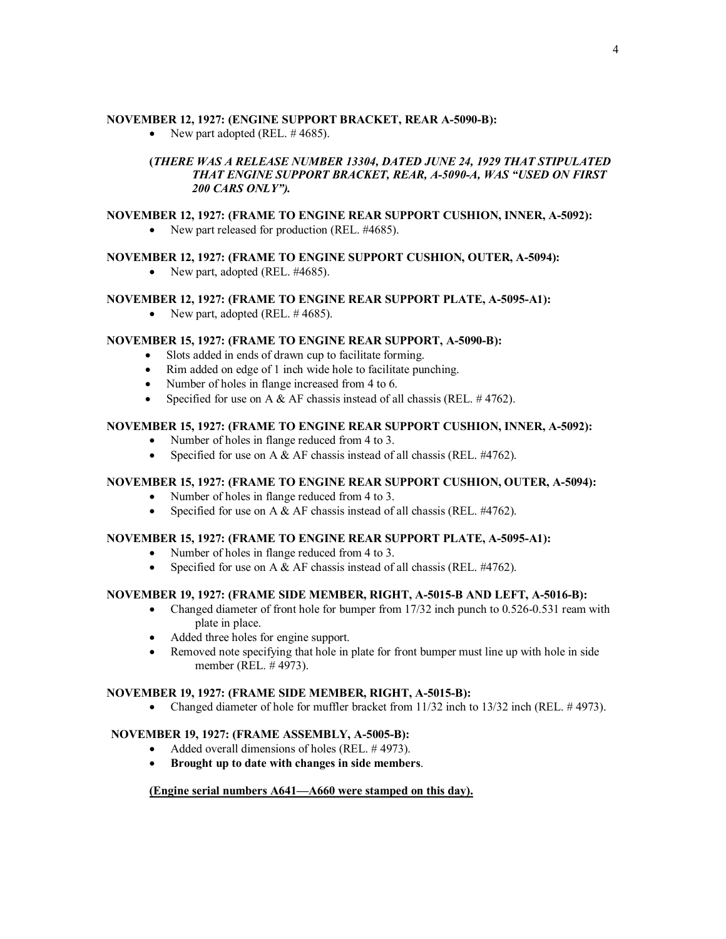### **NOVEMBER 12, 1927: (ENGINE SUPPORT BRACKET, REAR A-5090-B):**

• New part adopted (REL.  $\#4685$ ).

# **(***THERE WAS A RELEASE NUMBER 13304, DATED JUNE 24, 1929 THAT STIPULATED THAT ENGINE SUPPORT BRACKET, REAR, A-5090-A, WAS "USED ON FIRST 200 CARS ONLY").*

# **NOVEMBER 12, 1927: (FRAME TO ENGINE REAR SUPPORT CUSHION, INNER, A-5092):**

• New part released for production (REL. #4685).

# **NOVEMBER 12, 1927: (FRAME TO ENGINE SUPPORT CUSHION, OUTER, A-5094):**

• New part, adopted (REL. #4685).

# **NOVEMBER 12, 1927: (FRAME TO ENGINE REAR SUPPORT PLATE, A-5095-A1):**

• New part, adopted (REL.  $\#4685$ ).

# **NOVEMBER 15, 1927: (FRAME TO ENGINE REAR SUPPORT, A-5090-B):**

- · Slots added in ends of drawn cup to facilitate forming.
- Rim added on edge of 1 inch wide hole to facilitate punching.
- Number of holes in flange increased from 4 to 6.
- Specified for use on A & AF chassis instead of all chassis (REL.  $\#4762$ ).

# **NOVEMBER 15, 1927: (FRAME TO ENGINE REAR SUPPORT CUSHION, INNER, A-5092):**

- Number of holes in flange reduced from 4 to 3.
- Specified for use on A  $&$  AF chassis instead of all chassis (REL. #4762).

# **NOVEMBER 15, 1927: (FRAME TO ENGINE REAR SUPPORT CUSHION, OUTER, A-5094):**

- Number of holes in flange reduced from 4 to 3.
- Specified for use on A  $&$  AF chassis instead of all chassis (REL. #4762).

# **NOVEMBER 15, 1927: (FRAME TO ENGINE REAR SUPPORT PLATE, A-5095-A1):**

- Number of holes in flange reduced from 4 to 3.
- Specified for use on A & AF chassis instead of all chassis (REL. #4762).

# **NOVEMBER 19, 1927: (FRAME SIDE MEMBER, RIGHT, A-5015-B AND LEFT, A-5016-B):**

- Changed diameter of front hole for bumper from 17/32 inch punch to 0.526-0.531 ream with plate in place.
- Added three holes for engine support.
- Removed note specifying that hole in plate for front bumper must line up with hole in side member (REL. # 4973).

# **NOVEMBER 19, 1927: (FRAME SIDE MEMBER, RIGHT, A-5015-B):**

• Changed diameter of hole for muffler bracket from 11/32 inch to 13/32 inch (REL. #4973).

# **NOVEMBER 19, 1927: (FRAME ASSEMBLY, A-5005-B):**

- Added overall dimensions of holes (REL. #4973).
- · **Brought up to date with changes in side members**.

# **(Engine serial numbers A641—A660 were stamped on this day).**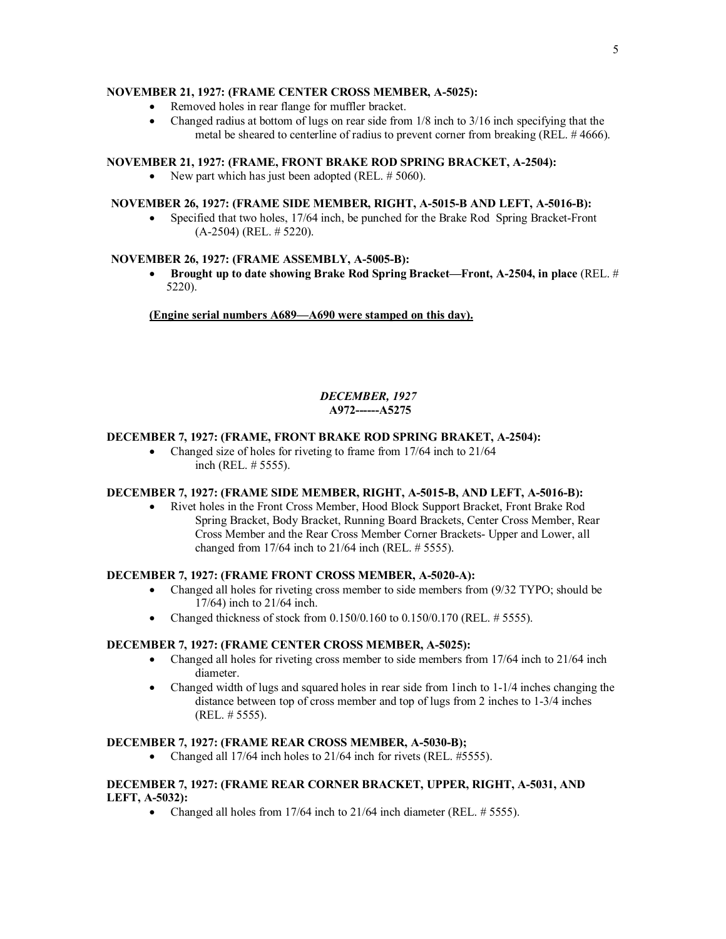# **NOVEMBER 21, 1927: (FRAME CENTER CROSS MEMBER, A-5025):**

- Removed holes in rear flange for muffler bracket.
- Changed radius at bottom of lugs on rear side from  $1/8$  inch to  $3/16$  inch specifying that the metal be sheared to centerline of radius to prevent corner from breaking (REL. # 4666).

# **NOVEMBER 21, 1927: (FRAME, FRONT BRAKE ROD SPRING BRACKET, A-2504):**

• New part which has just been adopted (REL. # 5060).

# **NOVEMBER 26, 1927: (FRAME SIDE MEMBER, RIGHT, A-5015-B AND LEFT, A-5016-B):**

• Specified that two holes, 17/64 inch, be punched for the Brake Rod Spring Bracket-Front (A-2504) (REL. # 5220).

# **NOVEMBER 26, 1927: (FRAME ASSEMBLY, A-5005-B):**

· **Brought up to date showing Brake Rod Spring Bracket—Front, A-2504, in place** (REL. # 5220).

**(Engine serial numbers A689—A690 were stamped on this day).**

# *DECEMBER, 1927*  **A972------A5275**

# **DECEMBER 7, 1927: (FRAME, FRONT BRAKE ROD SPRING BRAKET, A-2504):**

• Changed size of holes for riveting to frame from 17/64 inch to 21/64 inch (REL. # 5555).

# **DECEMBER 7, 1927: (FRAME SIDE MEMBER, RIGHT, A-5015-B, AND LEFT, A-5016-B):**

· Rivet holes in the Front Cross Member, Hood Block Support Bracket, Front Brake Rod Spring Bracket, Body Bracket, Running Board Brackets, Center Cross Member, Rear Cross Member and the Rear Cross Member Corner Brackets- Upper and Lower, all changed from 17/64 inch to 21/64 inch (REL. # 5555).

# **DECEMBER 7, 1927: (FRAME FRONT CROSS MEMBER, A-5020-A):**

- Changed all holes for riveting cross member to side members from (9/32 TYPO; should be 17/64) inch to 21/64 inch.
- Changed thickness of stock from  $0.150/0.160$  to  $0.150/0.170$  (REL. # 5555).

# **DECEMBER 7, 1927: (FRAME CENTER CROSS MEMBER, A-5025):**

- Changed all holes for riveting cross member to side members from 17/64 inch to 21/64 inch diameter.
- Changed width of lugs and squared holes in rear side from 1 inch to 1-1/4 inches changing the distance between top of cross member and top of lugs from 2 inches to 1-3/4 inches (REL. # 5555).

# **DECEMBER 7, 1927: (FRAME REAR CROSS MEMBER, A-5030-B);**

• Changed all 17/64 inch holes to 21/64 inch for rivets (REL. #5555).

# **DECEMBER 7, 1927: (FRAME REAR CORNER BRACKET, UPPER, RIGHT, A-5031, AND LEFT, A-5032):**

• Changed all holes from  $17/64$  inch to  $21/64$  inch diameter (REL. # 5555).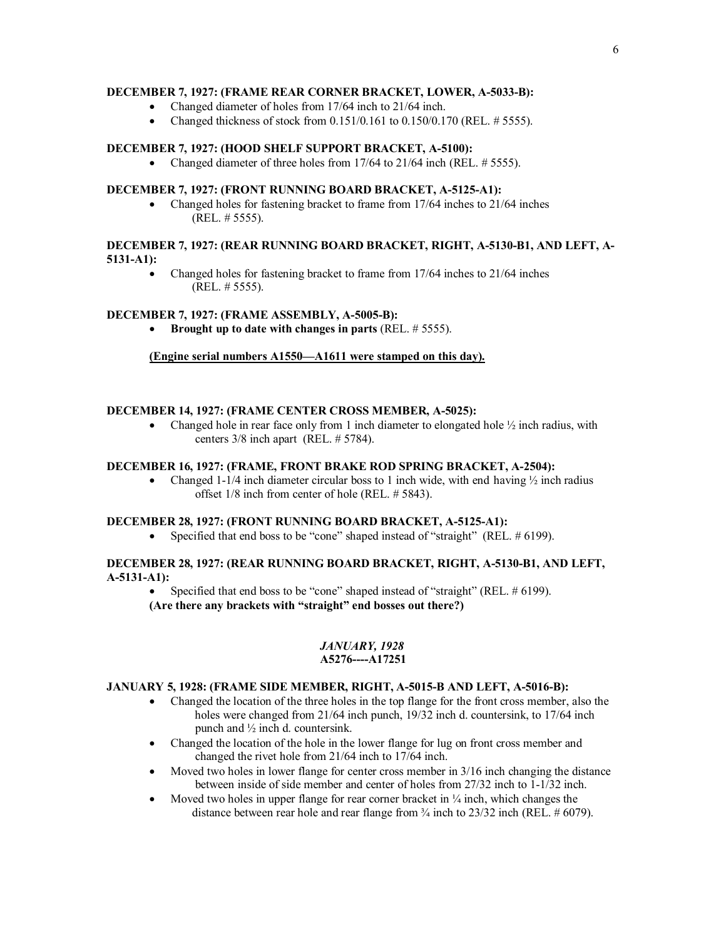# **DECEMBER 7, 1927: (FRAME REAR CORNER BRACKET, LOWER, A-5033-B):**

- Changed diameter of holes from 17/64 inch to 21/64 inch.
- Changed thickness of stock from  $0.151/0.161$  to  $0.150/0.170$  (REL, # 5555).

### **DECEMBER 7, 1927: (HOOD SHELF SUPPORT BRACKET, A-5100):**

• Changed diameter of three holes from 17/64 to 21/64 inch (REL. # 5555).

# **DECEMBER 7, 1927: (FRONT RUNNING BOARD BRACKET, A-5125-A1):**

• Changed holes for fastening bracket to frame from 17/64 inches to 21/64 inches (REL. # 5555).

### **DECEMBER 7, 1927: (REAR RUNNING BOARD BRACKET, RIGHT, A-5130-B1, AND LEFT, A-5131-A1):**

Changed holes for fastening bracket to frame from 17/64 inches to 21/64 inches (REL. # 5555).

### **DECEMBER 7, 1927: (FRAME ASSEMBLY, A-5005-B):**

· **Brought up to date with changes in parts** (REL. # 5555).

### **(Engine serial numbers A1550—A1611 were stamped on this day).**

### **DECEMBER 14, 1927: (FRAME CENTER CROSS MEMBER, A-5025):**

• Changed hole in rear face only from 1 inch diameter to elongated hole  $\frac{1}{2}$  inch radius, with centers 3/8 inch apart (REL. # 5784).

# **DECEMBER 16, 1927: (FRAME, FRONT BRAKE ROD SPRING BRACKET, A-2504):**

• Changed 1-1/4 inch diameter circular boss to 1 inch wide, with end having  $\frac{1}{2}$  inch radius offset 1/8 inch from center of hole (REL. # 5843).

### **DECEMBER 28, 1927: (FRONT RUNNING BOARD BRACKET, A-5125-A1):**

• Specified that end boss to be "cone" shaped instead of "straight" (REL. # 6199).

# **DECEMBER 28, 1927: (REAR RUNNING BOARD BRACKET, RIGHT, A-5130-B1, AND LEFT, A-5131-A1):**

Specified that end boss to be "cone" shaped instead of "straight" (REL,  $\#$  6199).

**(Are there any brackets with "straight" end bosses out there?)** 

### *JANUARY, 1928*  **A5276----A17251**

### **JANUARY 5, 1928: (FRAME SIDE MEMBER, RIGHT, A-5015-B AND LEFT, A-5016-B):**

- · Changed the location of the three holes in the top flange for the front cross member, also the holes were changed from 21/64 inch punch, 19/32 inch d. countersink, to 17/64 inch punch and ½ inch d. countersink.
- · Changed the location of the hole in the lower flange for lug on front cross member and changed the rivet hole from 21/64 inch to 17/64 inch.
- Moved two holes in lower flange for center cross member in  $3/16$  inch changing the distance between inside of side member and center of holes from 27/32 inch to 1-1/32 inch.
- Moved two holes in upper flange for rear corner bracket in  $\frac{1}{4}$  inch, which changes the distance between rear hole and rear flange from ¾ inch to 23/32 inch (REL. # 6079).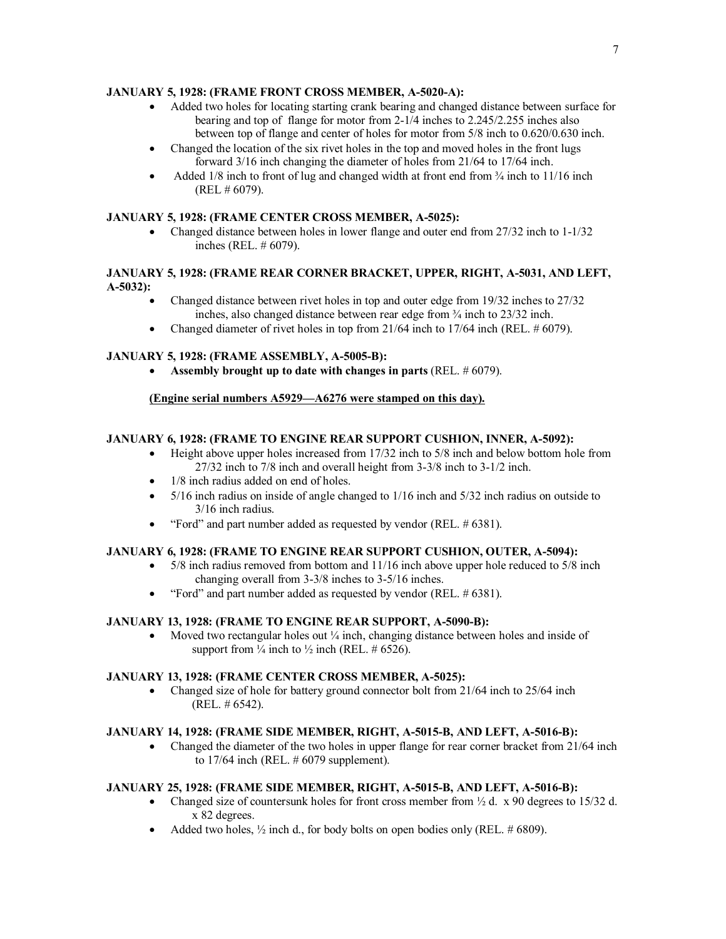# **JANUARY 5, 1928: (FRAME FRONT CROSS MEMBER, A-5020-A):**

- · Added two holes for locating starting crank bearing and changed distance between surface for bearing and top of flange for motor from 2-1/4 inches to 2.245/2.255 inches also between top of flange and center of holes for motor from 5/8 inch to 0.620/0.630 inch.
- Changed the location of the six rivet holes in the top and moved holes in the front lugs forward 3/16 inch changing the diameter of holes from 21/64 to 17/64 inch.
- Added 1/8 inch to front of lug and changed width at front end from  $\frac{3}{4}$  inch to 11/16 inch (REL # 6079).

# **JANUARY 5, 1928: (FRAME CENTER CROSS MEMBER, A-5025):**

• Changed distance between holes in lower flange and outer end from 27/32 inch to 1-1/32 inches (REL. # 6079).

# **JANUARY 5, 1928: (FRAME REAR CORNER BRACKET, UPPER, RIGHT, A-5031, AND LEFT, A-5032):**

- Changed distance between rivet holes in top and outer edge from 19/32 inches to 27/32 inches, also changed distance between rear edge from ¾ inch to 23/32 inch.
- Changed diameter of rivet holes in top from  $21/64$  inch to  $17/64$  inch (REL. # 6079).

# **JANUARY 5, 1928: (FRAME ASSEMBLY, A-5005-B):**

· **Assembly brought up to date with changes in parts** (REL. # 6079).

# **(Engine serial numbers A5929—A6276 were stamped on this day).**

# **JANUARY 6, 1928: (FRAME TO ENGINE REAR SUPPORT CUSHION, INNER, A-5092):**

- Height above upper holes increased from 17/32 inch to 5/8 inch and below bottom hole from 27/32 inch to 7/8 inch and overall height from 3-3/8 inch to 3-1/2 inch.
- 1/8 inch radius added on end of holes.
- 5/16 inch radius on inside of angle changed to 1/16 inch and 5/32 inch radius on outside to 3/16 inch radius.
- "Ford" and part number added as requested by vendor (REL. # 6381).

# **JANUARY 6, 1928: (FRAME TO ENGINE REAR SUPPORT CUSHION, OUTER, A-5094):**

- 5/8 inch radius removed from bottom and 11/16 inch above upper hole reduced to 5/8 inch changing overall from 3-3/8 inches to 3-5/16 inches.
- "Ford" and part number added as requested by vendor (REL. # 6381).

# **JANUARY 13, 1928: (FRAME TO ENGINE REAR SUPPORT, A-5090-B):**

Moved two rectangular holes out  $\frac{1}{4}$  inch, changing distance between holes and inside of support from  $\frac{1}{4}$  inch to  $\frac{1}{2}$  inch (REL. # 6526).

# **JANUARY 13, 1928: (FRAME CENTER CROSS MEMBER, A-5025):**

• Changed size of hole for battery ground connector bolt from 21/64 inch to 25/64 inch (REL. # 6542).

# **JANUARY 14, 1928: (FRAME SIDE MEMBER, RIGHT, A-5015-B, AND LEFT, A-5016-B):**

• Changed the diameter of the two holes in upper flange for rear corner bracket from 21/64 inch to 17/64 inch (REL. # 6079 supplement).

# **JANUARY 25, 1928: (FRAME SIDE MEMBER, RIGHT, A-5015-B, AND LEFT, A-5016-B):**

- Changed size of countersunk holes for front cross member from  $\frac{1}{2}$  d. x 90 degrees to 15/32 d. x 82 degrees.
- Added two holes,  $\frac{1}{2}$  inch d., for body bolts on open bodies only (REL. # 6809).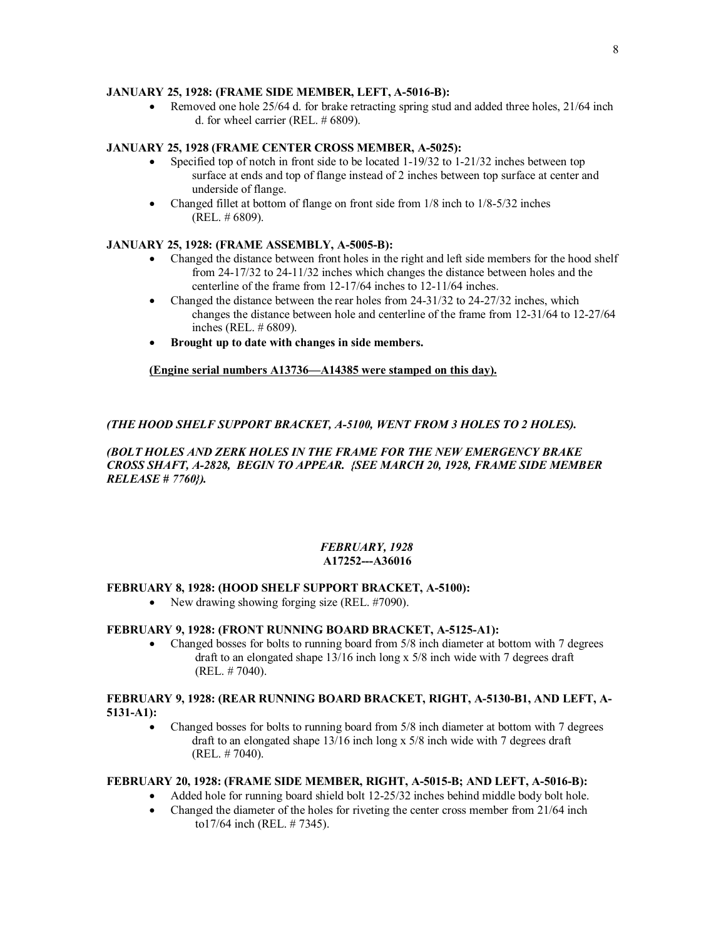# **JANUARY 25, 1928: (FRAME SIDE MEMBER, LEFT, A-5016-B):**

• Removed one hole 25/64 d, for brake retracting spring stud and added three holes, 21/64 inch d. for wheel carrier (REL. # 6809).

# **JANUARY 25, 1928 (FRAME CENTER CROSS MEMBER, A-5025):**

- Specified top of notch in front side to be located  $1-19/32$  to  $1-21/32$  inches between top surface at ends and top of flange instead of 2 inches between top surface at center and underside of flange.
- Changed fillet at bottom of flange on front side from 1/8 inch to 1/8-5/32 inches (REL. # 6809).

# **JANUARY 25, 1928: (FRAME ASSEMBLY, A-5005-B):**

- · Changed the distance between front holes in the right and left side members for the hood shelf from 24-17/32 to 24-11/32 inches which changes the distance between holes and the centerline of the frame from 12-17/64 inches to 12-11/64 inches.
- Changed the distance between the rear holes from 24-31/32 to 24-27/32 inches, which changes the distance between hole and centerline of the frame from 12-31/64 to 12-27/64 inches (REL. # 6809).
- · **Brought up to date with changes in side members.**

# **(Engine serial numbers A13736—A14385 were stamped on this day).**

# *(THE HOOD SHELF SUPPORT BRACKET, A-5100, WENT FROM 3 HOLES TO 2 HOLES).*

### *(BOLT HOLES AND ZERK HOLES IN THE FRAME FOR THE NEW EMERGENCY BRAKE CROSS SHAFT, A-2828, BEGIN TO APPEAR. {SEE MARCH 20, 1928, FRAME SIDE MEMBER RELEASE # 7760}).*

### *FEBRUARY, 1928*   **A17252---A36016**

### **FEBRUARY 8, 1928: (HOOD SHELF SUPPORT BRACKET, A-5100):**

• New drawing showing forging size (REL. #7090).

# **FEBRUARY 9, 1928: (FRONT RUNNING BOARD BRACKET, A-5125-A1):**

• Changed bosses for bolts to running board from 5/8 inch diameter at bottom with 7 degrees draft to an elongated shape 13/16 inch long x 5/8 inch wide with 7 degrees draft (REL. # 7040).

# **FEBRUARY 9, 1928: (REAR RUNNING BOARD BRACKET, RIGHT, A-5130-B1, AND LEFT, A-5131-A1):**

· Changed bosses for bolts to running board from 5/8 inch diameter at bottom with 7 degrees draft to an elongated shape 13/16 inch long x 5/8 inch wide with 7 degrees draft (REL. # 7040).

### **FEBRUARY 20, 1928: (FRAME SIDE MEMBER, RIGHT, A-5015-B; AND LEFT, A-5016-B):**

- Added hole for running board shield bolt 12-25/32 inches behind middle body bolt hole.
	- Changed the diameter of the holes for riveting the center cross member from 21/64 inch to17/64 inch (REL. # 7345).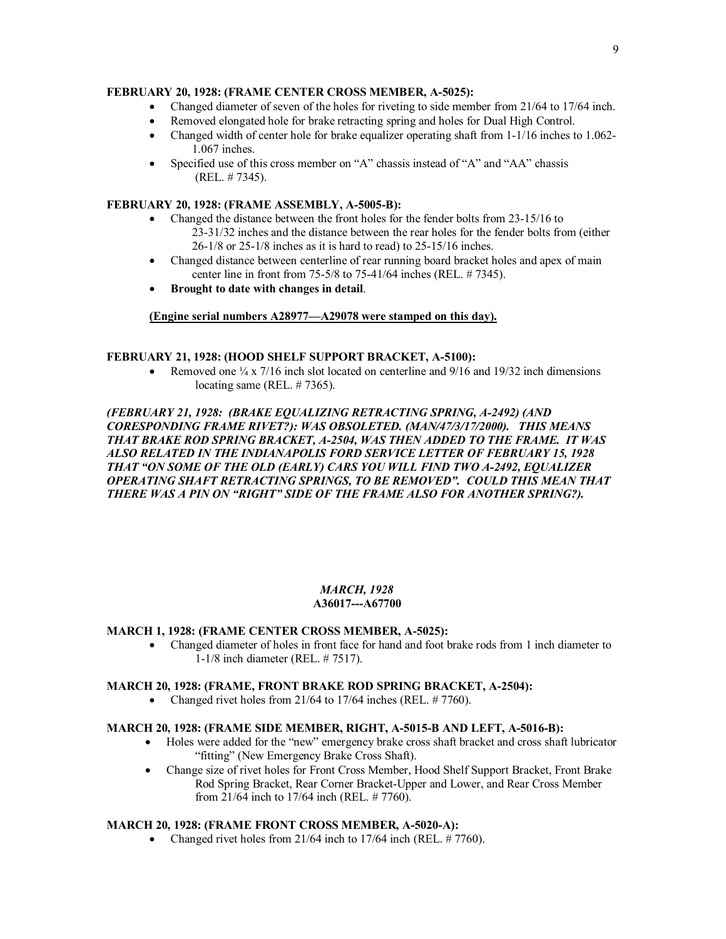# **FEBRUARY 20, 1928: (FRAME CENTER CROSS MEMBER, A-5025):**

- Changed diameter of seven of the holes for riveting to side member from 21/64 to 17/64 inch.
- Removed elongated hole for brake retracting spring and holes for Dual High Control.
- Changed width of center hole for brake equalizer operating shaft from 1-1/16 inches to 1.062-1.067 inches.
- Specified use of this cross member on "A" chassis instead of "A" and "AA" chassis (REL. # 7345).

# **FEBRUARY 20, 1928: (FRAME ASSEMBLY, A-5005-B):**

- Changed the distance between the front holes for the fender bolts from 23-15/16 to 23-31/32 inches and the distance between the rear holes for the fender bolts from (either 26-1/8 or 25-1/8 inches as it is hard to read) to 25-15/16 inches.
- Changed distance between centerline of rear running board bracket holes and apex of main center line in front from 75-5/8 to 75-41/64 inches (REL. # 7345).
- · **Brought to date with changes in detail**.

### **(Engine serial numbers A28977—A29078 were stamped on this day).**

### **FEBRUARY 21, 1928: (HOOD SHELF SUPPORT BRACKET, A-5100):**

Removed one  $\frac{1}{4}$  x 7/16 inch slot located on centerline and 9/16 and 19/32 inch dimensions locating same (REL. #7365).

# *(FEBRUARY 21, 1928: (BRAKE EQUALIZING RETRACTING SPRING, A-2492) (AND CORESPONDING FRAME RIVET?): WAS OBSOLETED. (MAN/47/3/17/2000). THIS MEANS THAT BRAKE ROD SPRING BRACKET, A-2504, WAS THEN ADDED TO THE FRAME. IT WAS ALSO RELATED IN THE INDIANAPOLIS FORD SERVICE LETTER OF FEBRUARY 15, 1928 THAT "ON SOME OF THE OLD (EARLY) CARS YOU WILL FIND TWO A-2492, EQUALIZER OPERATING SHAFT RETRACTING SPRINGS, TO BE REMOVED". COULD THIS MEAN THAT THERE WAS A PIN ON "RIGHT" SIDE OF THE FRAME ALSO FOR ANOTHER SPRING?).*

#### *MARCH, 1928*  **A36017---A67700**

### **MARCH 1, 1928: (FRAME CENTER CROSS MEMBER, A-5025):**

· Changed diameter of holes in front face for hand and foot brake rods from 1 inch diameter to 1-1/8 inch diameter (REL. # 7517).

### **MARCH 20, 1928: (FRAME, FRONT BRAKE ROD SPRING BRACKET, A-2504):**

• Changed rivet holes from  $21/64$  to  $17/64$  inches (REL.  $\# 7760$ ).

### **MARCH 20, 1928: (FRAME SIDE MEMBER, RIGHT, A-5015-B AND LEFT, A-5016-B):**

- · Holes were added for the "new" emergency brake cross shaft bracket and cross shaft lubricator "fitting" (New Emergency Brake Cross Shaft).
- · Change size of rivet holes for Front Cross Member, Hood Shelf Support Bracket, Front Brake Rod Spring Bracket, Rear Corner Bracket-Upper and Lower, and Rear Cross Member from 21/64 inch to 17/64 inch (REL. # 7760).

### **MARCH 20, 1928: (FRAME FRONT CROSS MEMBER, A-5020-A):**

• Changed rivet holes from  $21/64$  inch to  $17/64$  inch (REL.  $\# 7760$ ).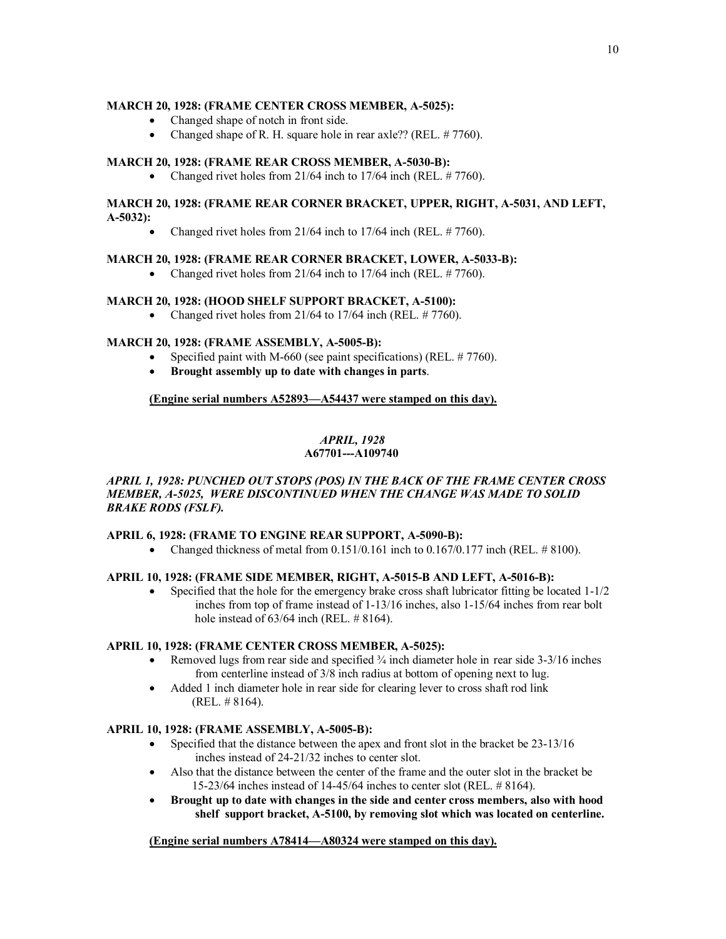# **MARCH 20, 1928: (FRAME CENTER CROSS MEMBER, A-5025):**

- Changed shape of notch in front side.
- · Changed shape of R. H. square hole in rear axle?? (REL. # 7760).

# **MARCH 20, 1928: (FRAME REAR CROSS MEMBER, A-5030-B):**

• Changed rivet holes from  $21/64$  inch to  $17/64$  inch (REL.  $\# 7760$ ).

### **MARCH 20, 1928: (FRAME REAR CORNER BRACKET, UPPER, RIGHT, A-5031, AND LEFT, A-5032):**

• Changed rivet holes from  $21/64$  inch to  $17/64$  inch (REL.  $\# 7760$ ).

### **MARCH 20, 1928: (FRAME REAR CORNER BRACKET, LOWER, A-5033-B):**

• Changed rivet holes from  $21/64$  inch to  $17/64$  inch (REL.  $\# 7760$ ).

### **MARCH 20, 1928: (HOOD SHELF SUPPORT BRACKET, A-5100):**

• Changed rivet holes from  $21/64$  to  $17/64$  inch (REL.  $\# 7760$ ).

# **MARCH 20, 1928: (FRAME ASSEMBLY, A-5005-B):**

- Specified paint with M-660 (see paint specifications) (REL. #7760).
- · **Brought assembly up to date with changes in parts**.

### **(Engine serial numbers A52893—A54437 were stamped on this day).**

# *APRIL, 1928*

# **A67701---A109740**

# *APRIL 1, 1928: PUNCHED OUT STOPS (POS) IN THE BACK OF THE FRAME CENTER CROSS MEMBER, A-5025, WERE DISCONTINUED WHEN THE CHANGE WAS MADE TO SOLID BRAKE RODS (FSLF).*

### **APRIL 6, 1928: (FRAME TO ENGINE REAR SUPPORT, A-5090-B):**

• Changed thickness of metal from  $0.151/0.161$  inch to  $0.167/0.177$  inch (REL,  $\# 8100$ ).

### **APRIL 10, 1928: (FRAME SIDE MEMBER, RIGHT, A-5015-B AND LEFT, A-5016-B):**

• Specified that the hole for the emergency brake cross shaft lubricator fitting be located  $1-1/2$ inches from top of frame instead of 1-13/16 inches, also 1-15/64 inches from rear bolt hole instead of 63/64 inch (REL. # 8164).

### **APRIL 10, 1928: (FRAME CENTER CROSS MEMBER, A-5025):**

- Removed lugs from rear side and specified  $\frac{3}{4}$  inch diameter hole in rear side 3-3/16 inches from centerline instead of 3/8 inch radius at bottom of opening next to lug.
- Added 1 inch diameter hole in rear side for clearing lever to cross shaft rod link (REL. # 8164).

# **APRIL 10, 1928: (FRAME ASSEMBLY, A-5005-B):**

- Specified that the distance between the apex and front slot in the bracket be 23-13/16 inches instead of 24-21/32 inches to center slot.
- · Also that the distance between the center of the frame and the outer slot in the bracket be 15-23/64 inches instead of 14-45/64 inches to center slot (REL. # 8164).
- · **Brought up to date with changes in the side and center cross members, also with hood shelf support bracket, A-5100, by removing slot which was located on centerline.**

### **(Engine serial numbers A78414—A80324 were stamped on this day).**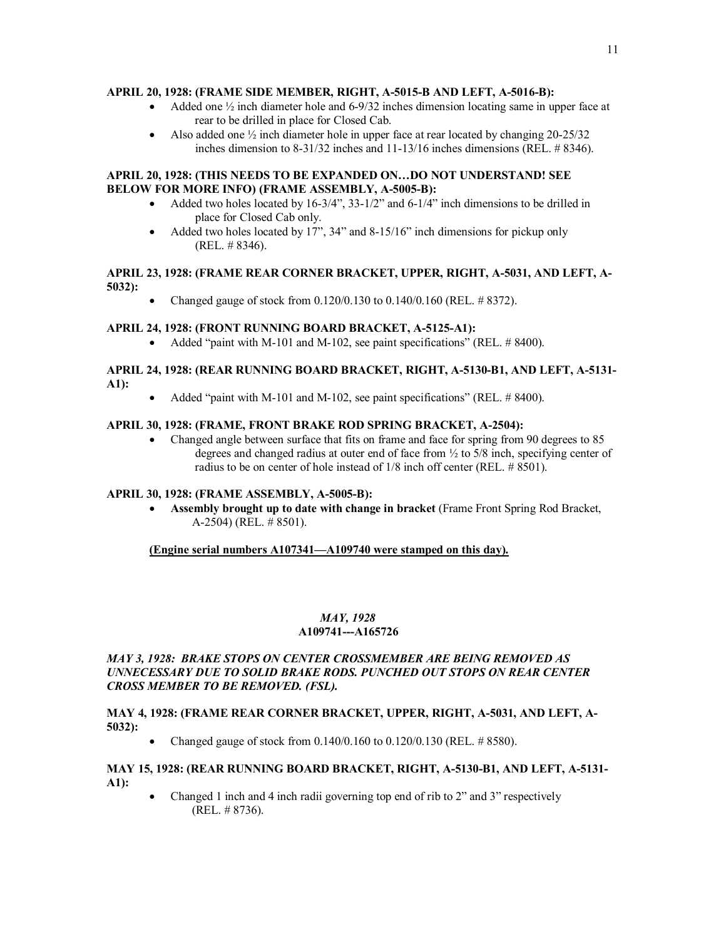# **APRIL 20, 1928: (FRAME SIDE MEMBER, RIGHT, A-5015-B AND LEFT, A-5016-B):**

- Added one  $\frac{1}{2}$  inch diameter hole and 6-9/32 inches dimension locating same in upper face at rear to be drilled in place for Closed Cab.
- Also added one  $\frac{1}{2}$  inch diameter hole in upper face at rear located by changing 20-25/32 inches dimension to 8-31/32 inches and 11-13/16 inches dimensions (REL. # 8346).

### **APRIL 20, 1928: (THIS NEEDS TO BE EXPANDED ON…DO NOT UNDERSTAND! SEE BELOW FOR MORE INFO) (FRAME ASSEMBLY, A-5005-B):**

- Added two holes located by  $16-3/4$ ",  $33-1/2$ " and  $6-1/4$ " inch dimensions to be drilled in place for Closed Cab only.
- Added two holes located by 17",  $34$ " and  $8-15/16$ " inch dimensions for pickup only (REL. # 8346).

# **APRIL 23, 1928: (FRAME REAR CORNER BRACKET, UPPER, RIGHT, A-5031, AND LEFT, A-5032):**

· Changed gauge of stock from 0.120/0.130 to 0.140/0.160 (REL. # 8372).

# **APRIL 24, 1928: (FRONT RUNNING BOARD BRACKET, A-5125-A1):**

• Added "paint with M-101 and M-102, see paint specifications" (REL, # 8400).

# **APRIL 24, 1928: (REAR RUNNING BOARD BRACKET, RIGHT, A-5130-B1, AND LEFT, A-5131- A1):**

• Added "paint with M-101 and M-102, see paint specifications" (REL. # 8400).

# **APRIL 30, 1928: (FRAME, FRONT BRAKE ROD SPRING BRACKET, A-2504):**

• Changed angle between surface that fits on frame and face for spring from 90 degrees to 85 degrees and changed radius at outer end of face from ½ to 5/8 inch, specifying center of radius to be on center of hole instead of 1/8 inch off center (REL. # 8501).

### **APRIL 30, 1928: (FRAME ASSEMBLY, A-5005-B):**

· **Assembly brought up to date with change in bracket** (Frame Front Spring Rod Bracket, A-2504) (REL. # 8501).

# **(Engine serial numbers A107341—A109740 were stamped on this day).**

# *MAY, 1928*   **A109741---A165726**

# *MAY 3, 1928: BRAKE STOPS ON CENTER CROSSMEMBER ARE BEING REMOVED AS UNNECESSARY DUE TO SOLID BRAKE RODS. PUNCHED OUT STOPS ON REAR CENTER CROSS MEMBER TO BE REMOVED. (FSL).*

### **MAY 4, 1928: (FRAME REAR CORNER BRACKET, UPPER, RIGHT, A-5031, AND LEFT, A-5032):**

• Changed gauge of stock from  $0.140/0.160$  to  $0.120/0.130$  (REL. # 8580).

### **MAY 15, 1928: (REAR RUNNING BOARD BRACKET, RIGHT, A-5130-B1, AND LEFT, A-5131- A1):**

· Changed 1 inch and 4 inch radii governing top end of rib to 2" and 3" respectively (REL. # 8736).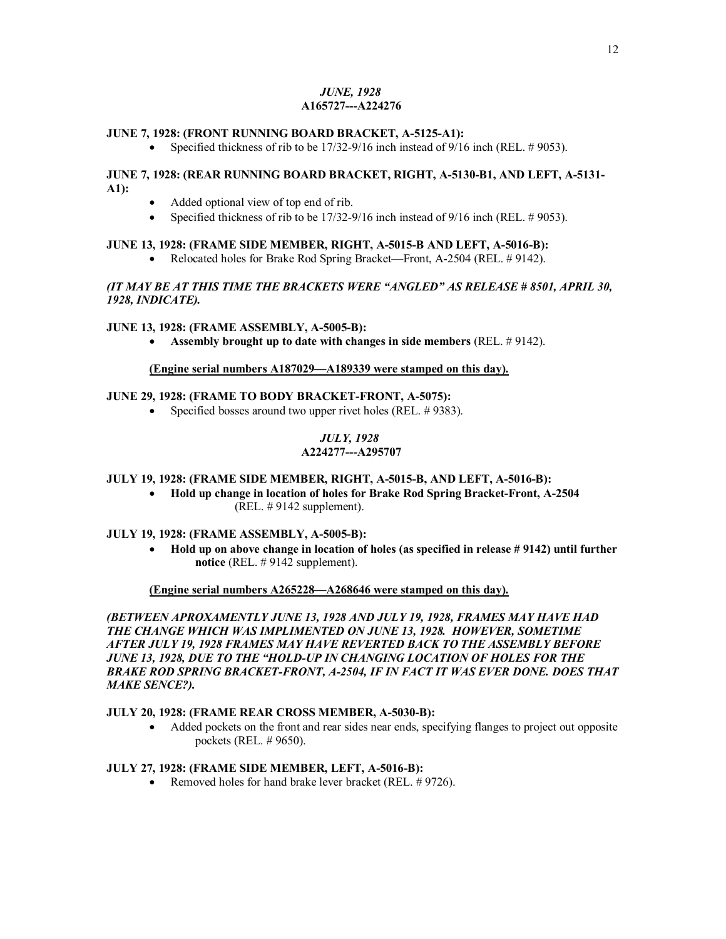# *JUNE, 1928*  **A165727---A224276**

### **JUNE 7, 1928: (FRONT RUNNING BOARD BRACKET, A-5125-A1):**

Specified thickness of rib to be  $17/32-9/16$  inch instead of  $9/16$  inch (REL. # 9053).

# **JUNE 7, 1928: (REAR RUNNING BOARD BRACKET, RIGHT, A-5130-B1, AND LEFT, A-5131- A1):**

- · Added optional view of top end of rib.
- Specified thickness of rib to be  $17/32-9/16$  inch instead of  $9/16$  inch (REL. # 9053).

### **JUNE 13, 1928: (FRAME SIDE MEMBER, RIGHT, A-5015-B AND LEFT, A-5016-B):**

• Relocated holes for Brake Rod Spring Bracket—Front, A-2504 (REL. # 9142).

# *(IT MAY BE AT THIS TIME THE BRACKETS WERE "ANGLED" AS RELEASE # 8501, APRIL 30, 1928, INDICATE).*

### **JUNE 13, 1928: (FRAME ASSEMBLY, A-5005-B):**

· **Assembly brought up to date with changes in side members** (REL. # 9142).

### **(Engine serial numbers A187029—A189339 were stamped on this day).**

# **JUNE 29, 1928: (FRAME TO BODY BRACKET-FRONT, A-5075):**

• Specified bosses around two upper rivet holes (REL. #9383).

# *JULY, 1928*

# **A224277---A295707**

### **JULY 19, 1928: (FRAME SIDE MEMBER, RIGHT, A-5015-B, AND LEFT, A-5016-B):**

· **Hold up change in location of holes for Brake Rod Spring Bracket-Front, A-2504** (REL. # 9142 supplement).

### **JULY 19, 1928: (FRAME ASSEMBLY, A-5005-B):**

· **Hold up on above change in location of holes (as specified in release # 9142) until further notice** (REL. # 9142 supplement).

### **(Engine serial numbers A265228—A268646 were stamped on this day).**

*(BETWEEN APROXAMENTLY JUNE 13, 1928 AND JULY 19, 1928, FRAMES MAY HAVE HAD THE CHANGE WHICH WAS IMPLIMENTED ON JUNE 13, 1928. HOWEVER, SOMETIME AFTER JULY 19, 1928 FRAMES MAY HAVE REVERTED BACK TO THE ASSEMBLY BEFORE JUNE 13, 1928, DUE TO THE "HOLD-UP IN CHANGING LOCATION OF HOLES FOR THE BRAKE ROD SPRING BRACKET-FRONT, A-2504, IF IN FACT IT WAS EVER DONE. DOES THAT MAKE SENCE?).* 

### **JULY 20, 1928: (FRAME REAR CROSS MEMBER, A-5030-B):**

• Added pockets on the front and rear sides near ends, specifying flanges to project out opposite pockets (REL. # 9650).

### **JULY 27, 1928: (FRAME SIDE MEMBER, LEFT, A-5016-B):**

• Removed holes for hand brake lever bracket (REL. #9726).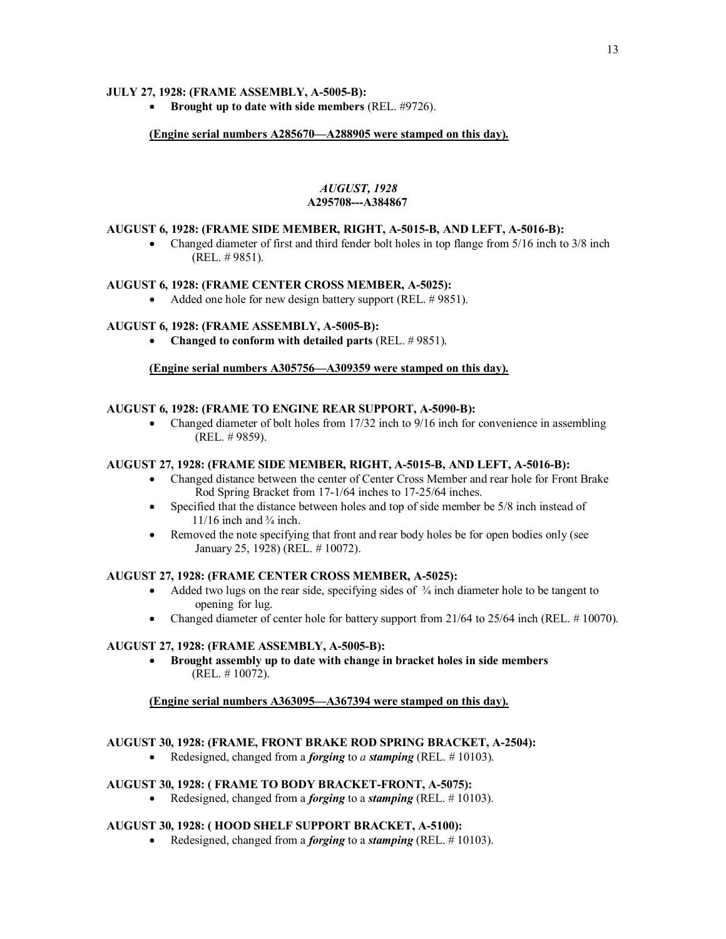# **JULY 27, 1928: (FRAME ASSEMBLY, A-5005-B):**

· **Brought up to date with side members** (REL. #9726).

# **(Engine serial numbers A285670—A288905 were stamped on this day).**

# *AUGUST, 1928*  **A295708---A384867**

### **AUGUST 6, 1928: (FRAME SIDE MEMBER, RIGHT, A-5015-B, AND LEFT, A-5016-B):**

• Changed diameter of first and third fender bolt holes in top flange from 5/16 inch to 3/8 inch (REL. # 9851).

### **AUGUST 6, 1928: (FRAME CENTER CROSS MEMBER, A-5025):**

• Added one hole for new design battery support (REL. #9851).

# **AUGUST 6, 1928: (FRAME ASSEMBLY, A-5005-B):**

· **Changed to conform with detailed parts** (REL. # 9851).

# **(Engine serial numbers A305756—A309359 were stamped on this day).**

### **AUGUST 6, 1928: (FRAME TO ENGINE REAR SUPPORT, A-5090-B):**

• Changed diameter of bolt holes from 17/32 inch to 9/16 inch for convenience in assembling (REL. # 9859).

# **AUGUST 27, 1928: (FRAME SIDE MEMBER, RIGHT, A-5015-B, AND LEFT, A-5016-B):**

- · Changed distance between the center of Center Cross Member and rear hole for Front Brake Rod Spring Bracket from 17-1/64 inches to 17-25/64 inches.
- Specified that the distance between holes and top of side member be 5/8 inch instead of  $11/16$  inch and  $\frac{3}{4}$  inch.
- Removed the note specifying that front and rear body holes be for open bodies only (see January 25, 1928) (REL. # 10072).

### **AUGUST 27, 1928: (FRAME CENTER CROSS MEMBER, A-5025):**

- Added two lugs on the rear side, specifying sides of  $\frac{3}{4}$  inch diameter hole to be tangent to opening for lug.
- Changed diameter of center hole for battery support from 21/64 to 25/64 inch (REL. # 10070).

### **AUGUST 27, 1928: (FRAME ASSEMBLY, A-5005-B):**

· **Brought assembly up to date with change in bracket holes in side members** (REL. # 10072).

# **(Engine serial numbers A363095—A367394 were stamped on this day).**

### **AUGUST 30, 1928: (FRAME, FRONT BRAKE ROD SPRING BRACKET, A-2504):**

· Redesigned, changed from a *forging* to *a stamping* (REL. # 10103).

### **AUGUST 30, 1928: ( FRAME TO BODY BRACKET-FRONT, A-5075):**

· Redesigned, changed from a *forging* to a *stamping* (REL. # 10103).

# **AUGUST 30, 1928: ( HOOD SHELF SUPPORT BRACKET, A-5100):**

· Redesigned, changed from a *forging* to a *stamping* (REL. # 10103).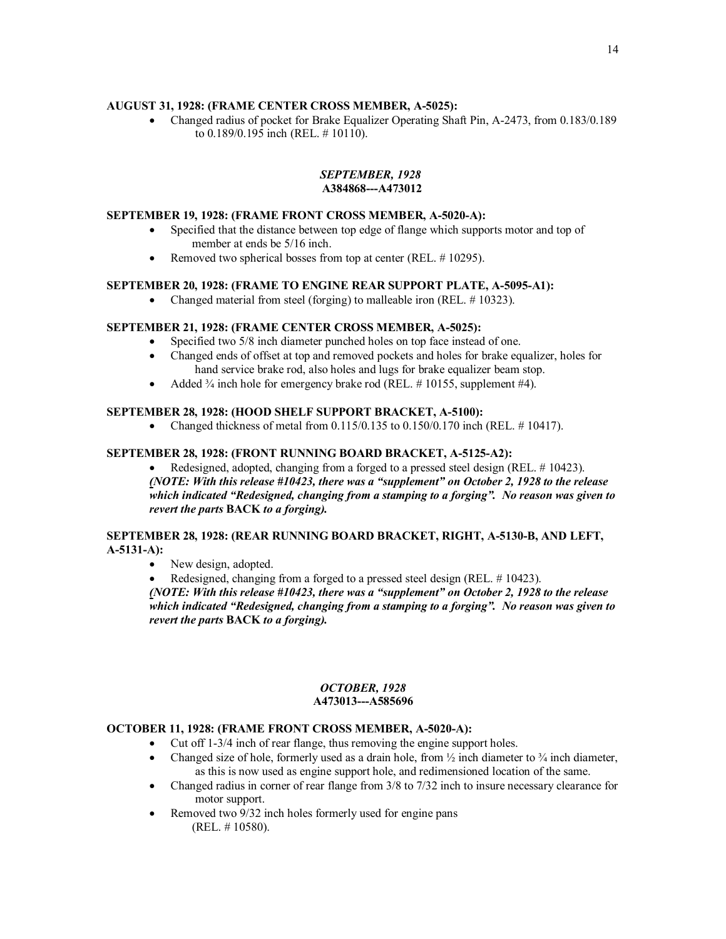# **AUGUST 31, 1928: (FRAME CENTER CROSS MEMBER, A-5025):**

· Changed radius of pocket for Brake Equalizer Operating Shaft Pin, A-2473, from 0.183/0.189 to 0.189/0.195 inch (REL. # 10110).

# *SEPTEMBER, 1928*  **A384868---A473012**

# **SEPTEMBER 19, 1928: (FRAME FRONT CROSS MEMBER, A-5020-A):**

- · Specified that the distance between top edge of flange which supports motor and top of member at ends be 5/16 inch.
- Removed two spherical bosses from top at center (REL. #10295).

### **SEPTEMBER 20, 1928: (FRAME TO ENGINE REAR SUPPORT PLATE, A-5095-A1):**

• Changed material from steel (forging) to malleable iron (REL. #10323).

# **SEPTEMBER 21, 1928: (FRAME CENTER CROSS MEMBER, A-5025):**

- Specified two 5/8 inch diameter punched holes on top face instead of one.
- · Changed ends of offset at top and removed pockets and holes for brake equalizer, holes for hand service brake rod, also holes and lugs for brake equalizer beam stop.
- Added  $\frac{3}{4}$  inch hole for emergency brake rod (REL. #10155, supplement #4).

### **SEPTEMBER 28, 1928: (HOOD SHELF SUPPORT BRACKET, A-5100):**

• Changed thickness of metal from  $0.115/0.135$  to  $0.150/0.170$  inch (REL. #10417).

### **SEPTEMBER 28, 1928: (FRONT RUNNING BOARD BRACKET, A-5125-A2):**

Redesigned, adopted, changing from a forged to a pressed steel design (REL. # 10423). *(NOTE: With this release #10423, there was a "supplement" on October 2, 1928 to the release which indicated "Redesigned, changing from a stamping to a forging". No reason was given to revert the parts* **BACK** *to a forging).*

### **SEPTEMBER 28, 1928: (REAR RUNNING BOARD BRACKET, RIGHT, A-5130-B, AND LEFT, A-5131-A):**

• New design, adopted.

Redesigned, changing from a forged to a pressed steel design (REL. #10423). *(NOTE: With this release #10423, there was a "supplement" on October 2, 1928 to the release which indicated "Redesigned, changing from a stamping to a forging". No reason was given to revert the parts* **BACK** *to a forging).* 

#### *OCTOBER, 1928*   **A473013---A585696**

### **OCTOBER 11, 1928: (FRAME FRONT CROSS MEMBER, A-5020-A):**

- Cut off 1-3/4 inch of rear flange, thus removing the engine support holes.
- Changed size of hole, formerly used as a drain hole, from  $\frac{1}{2}$  inch diameter to  $\frac{3}{4}$  inch diameter, as this is now used as engine support hole, and redimensioned location of the same.
- Changed radius in corner of rear flange from 3/8 to 7/32 inch to insure necessary clearance for motor support.
- Removed two 9/32 inch holes formerly used for engine pans (REL. # 10580).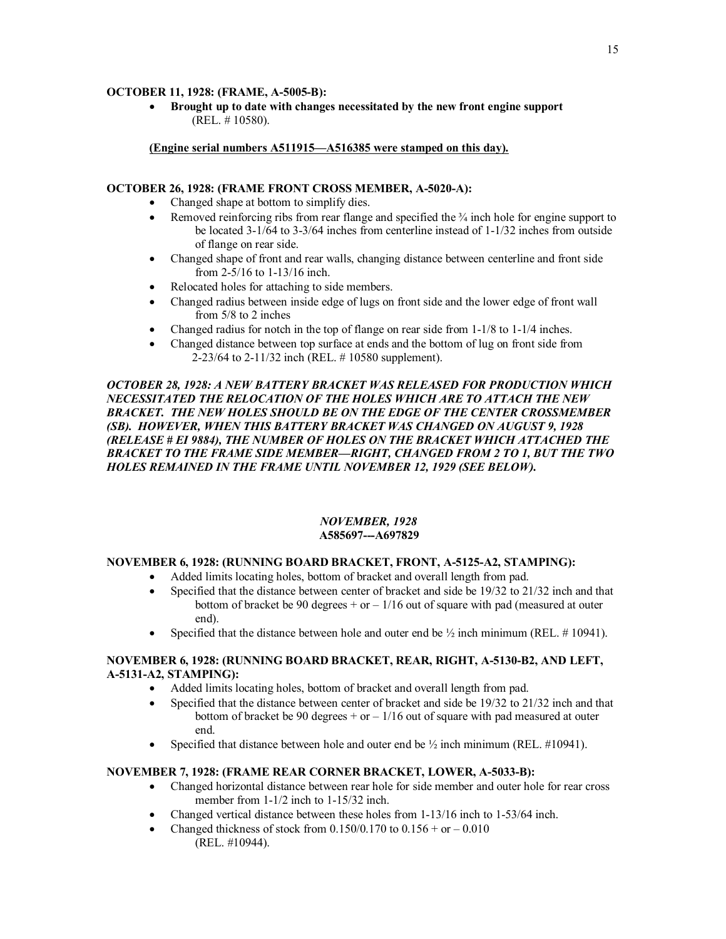# **OCTOBER 11, 1928: (FRAME, A-5005-B):**

· **Brought up to date with changes necessitated by the new front engine support** (REL. # 10580).

### **(Engine serial numbers A511915—A516385 were stamped on this day).**

### **OCTOBER 26, 1928: (FRAME FRONT CROSS MEMBER, A-5020-A):**

- · Changed shape at bottom to simplify dies.
- Removed reinforcing ribs from rear flange and specified the  $\frac{3}{4}$  inch hole for engine support to be located 3-1/64 to 3-3/64 inches from centerline instead of 1-1/32 inches from outside of flange on rear side.
- · Changed shape of front and rear walls, changing distance between centerline and front side from 2-5/16 to 1-13/16 inch.
- · Relocated holes for attaching to side members.
- Changed radius between inside edge of lugs on front side and the lower edge of front wall from 5/8 to 2 inches
- Changed radius for notch in the top of flange on rear side from 1-1/8 to 1-1/4 inches.
- Changed distance between top surface at ends and the bottom of lug on front side from 2-23/64 to 2-11/32 inch (REL. # 10580 supplement).

# *OCTOBER 28, 1928: A NEW BATTERY BRACKET WAS RELEASED FOR PRODUCTION WHICH NECESSITATED THE RELOCATION OF THE HOLES WHICH ARE TO ATTACH THE NEW BRACKET. THE NEW HOLES SHOULD BE ON THE EDGE OF THE CENTER CROSSMEMBER (SB). HOWEVER, WHEN THIS BATTERY BRACKET WAS CHANGED ON AUGUST 9, 1928 (RELEASE # EI 9884), THE NUMBER OF HOLES ON THE BRACKET WHICH ATTACHED THE BRACKET TO THE FRAME SIDE MEMBER—RIGHT, CHANGED FROM 2 TO 1, BUT THE TWO HOLES REMAINED IN THE FRAME UNTIL NOVEMBER 12, 1929 (SEE BELOW).*

### *NOVEMBER, 1928*  **A585697---A697829**

# **NOVEMBER 6, 1928: (RUNNING BOARD BRACKET, FRONT, A-5125-A2, STAMPING):**

- · Added limits locating holes, bottom of bracket and overall length from pad.
- Specified that the distance between center of bracket and side be 19/32 to 21/32 inch and that bottom of bracket be 90 degrees  $+$  or  $-1/16$  out of square with pad (measured at outer end).
- Specified that the distance between hole and outer end be  $\frac{1}{2}$  inch minimum (REL. # 10941).

# **NOVEMBER 6, 1928: (RUNNING BOARD BRACKET, REAR, RIGHT, A-5130-B2, AND LEFT, A-5131-A2, STAMPING):**

- · Added limits locating holes, bottom of bracket and overall length from pad.
- Specified that the distance between center of bracket and side be 19/32 to 21/32 inch and that bottom of bracket be 90 degrees  $+$  or  $-1/16$  out of square with pad measured at outer end.
- Specified that distance between hole and outer end be  $\frac{1}{2}$  inch minimum (REL. #10941).

# **NOVEMBER 7, 1928: (FRAME REAR CORNER BRACKET, LOWER, A-5033-B):**

- Changed horizontal distance between rear hole for side member and outer hole for rear cross member from  $1-1/2$  inch to  $1-15/32$  inch.
- Changed vertical distance between these holes from 1-13/16 inch to 1-53/64 inch.
- Changed thickness of stock from  $0.150/0.170$  to  $0.156 + or -0.010$ (REL. #10944).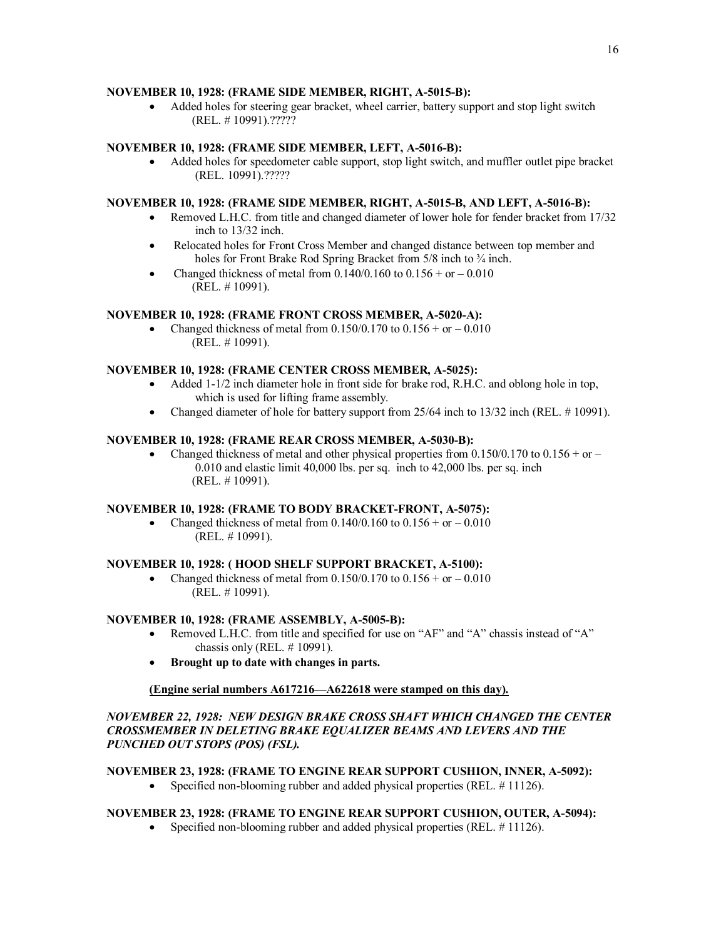# **NOVEMBER 10, 1928: (FRAME SIDE MEMBER, RIGHT, A-5015-B):**

Added holes for steering gear bracket, wheel carrier, battery support and stop light switch (REL. # 10991).?????

# **NOVEMBER 10, 1928: (FRAME SIDE MEMBER, LEFT, A-5016-B):**

· Added holes for speedometer cable support, stop light switch, and muffler outlet pipe bracket (REL. 10991).?????

### **NOVEMBER 10, 1928: (FRAME SIDE MEMBER, RIGHT, A-5015-B, AND LEFT, A-5016-B):**

- Removed L.H.C. from title and changed diameter of lower hole for fender bracket from 17/32 inch to 13/32 inch.
- · Relocated holes for Front Cross Member and changed distance between top member and holes for Front Brake Rod Spring Bracket from 5/8 inch to  $\frac{3}{4}$  inch.
- Changed thickness of metal from  $0.140/0.160$  to  $0.156 + or 0.010$ (REL. # 10991).

# **NOVEMBER 10, 1928: (FRAME FRONT CROSS MEMBER, A-5020-A):**

Changed thickness of metal from  $0.150/0.170$  to  $0.156 + or - 0.010$ (REL. # 10991).

### **NOVEMBER 10, 1928: (FRAME CENTER CROSS MEMBER, A-5025):**

- Added 1-1/2 inch diameter hole in front side for brake rod, R.H.C. and oblong hole in top, which is used for lifting frame assembly.
- Changed diameter of hole for battery support from  $25/64$  inch to  $13/32$  inch (REL.  $\# 10991$ ).

### **NOVEMBER 10, 1928: (FRAME REAR CROSS MEMBER, A-5030-B):**

• Changed thickness of metal and other physical properties from 0.150/0.170 to 0.156 + or – 0.010 and elastic limit 40,000 lbs. per sq. inch to 42,000 lbs. per sq. inch (REL. # 10991).

# **NOVEMBER 10, 1928: (FRAME TO BODY BRACKET-FRONT, A-5075):**

• Changed thickness of metal from  $0.140/0.160$  to  $0.156 + or -0.010$ (REL. # 10991).

### **NOVEMBER 10, 1928: ( HOOD SHELF SUPPORT BRACKET, A-5100):**

Changed thickness of metal from  $0.150/0.170$  to  $0.156 + or -0.010$ (REL. # 10991).

### **NOVEMBER 10, 1928: (FRAME ASSEMBLY, A-5005-B):**

- Removed L.H.C. from title and specified for use on "AF" and "A" chassis instead of "A" chassis only (REL. # 10991).
- · **Brought up to date with changes in parts.**

### **(Engine serial numbers A617216—A622618 were stamped on this day).**

# *NOVEMBER 22, 1928: NEW DESIGN BRAKE CROSS SHAFT WHICH CHANGED THE CENTER CROSSMEMBER IN DELETING BRAKE EQUALIZER BEAMS AND LEVERS AND THE PUNCHED OUT STOPS (POS) (FSL).*

### **NOVEMBER 23, 1928: (FRAME TO ENGINE REAR SUPPORT CUSHION, INNER, A-5092):**

Specified non-blooming rubber and added physical properties (REL. #11126).

### **NOVEMBER 23, 1928: (FRAME TO ENGINE REAR SUPPORT CUSHION, OUTER, A-5094):**

• Specified non-blooming rubber and added physical properties (REL. #11126).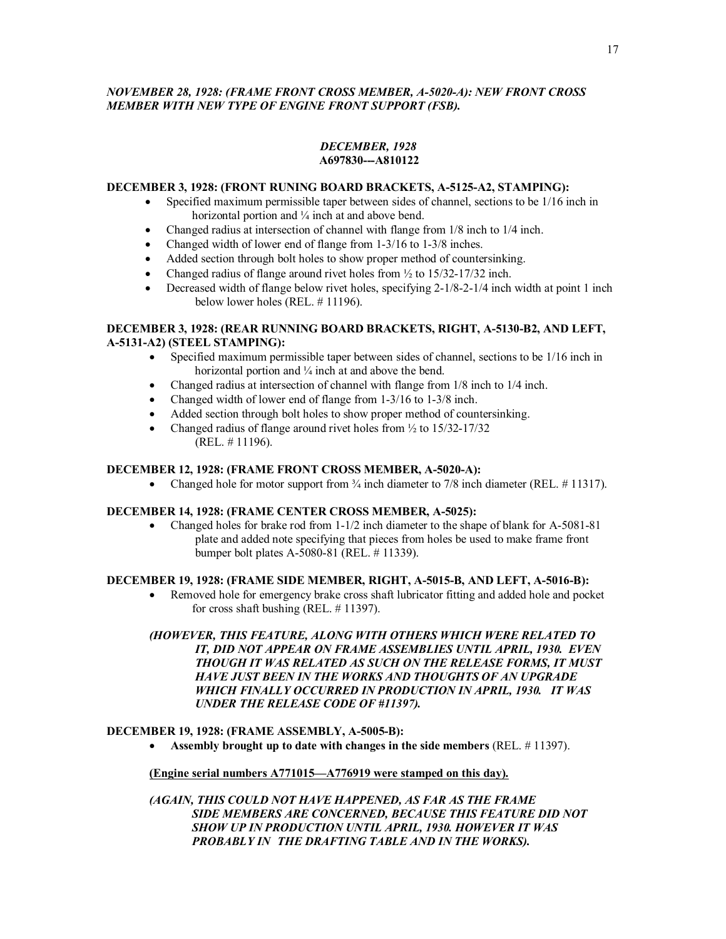# *NOVEMBER 28, 1928: (FRAME FRONT CROSS MEMBER, A-5020-A): NEW FRONT CROSS MEMBER WITH NEW TYPE OF ENGINE FRONT SUPPORT (FSB).*

### *DECEMBER, 1928*  **A697830---A810122**

### **DECEMBER 3, 1928: (FRONT RUNING BOARD BRACKETS, A-5125-A2, STAMPING):**

- Specified maximum permissible taper between sides of channel, sections to be 1/16 inch in horizontal portion and  $\frac{1}{4}$  inch at and above bend.
- Changed radius at intersection of channel with flange from 1/8 inch to 1/4 inch.
- Changed width of lower end of flange from 1-3/16 to 1-3/8 inches.
- Added section through bolt holes to show proper method of countersinking.
- Changed radius of flange around rivet holes from  $\frac{1}{2}$  to 15/32-17/32 inch.
- Decreased width of flange below rivet holes, specifying  $2-1/8-2-1/4$  inch width at point 1 inch below lower holes (REL. # 11196).

# **DECEMBER 3, 1928: (REAR RUNNING BOARD BRACKETS, RIGHT, A-5130-B2, AND LEFT, A-5131-A2) (STEEL STAMPING):**

- · Specified maximum permissible taper between sides of channel, sections to be 1/16 inch in horizontal portion and  $\frac{1}{4}$  inch at and above the bend.
- Changed radius at intersection of channel with flange from 1/8 inch to 1/4 inch.
- Changed width of lower end of flange from 1-3/16 to 1-3/8 inch.
- Added section through bolt holes to show proper method of countersinking.
- Changed radius of flange around rivet holes from  $\frac{1}{2}$  to 15/32-17/32 (REL. # 11196).

# **DECEMBER 12, 1928: (FRAME FRONT CROSS MEMBER, A-5020-A):**

Changed hole for motor support from  $\frac{3}{4}$  inch diameter to 7/8 inch diameter (REL. #11317).

# **DECEMBER 14, 1928: (FRAME CENTER CROSS MEMBER, A-5025):**

• Changed holes for brake rod from 1-1/2 inch diameter to the shape of blank for A-5081-81 plate and added note specifying that pieces from holes be used to make frame front bumper bolt plates A-5080-81 (REL. # 11339).

# **DECEMBER 19, 1928: (FRAME SIDE MEMBER, RIGHT, A-5015-B, AND LEFT, A-5016-B):**

· Removed hole for emergency brake cross shaft lubricator fitting and added hole and pocket for cross shaft bushing (REL. # 11397).

# *(HOWEVER, THIS FEATURE, ALONG WITH OTHERS WHICH WERE RELATED TO IT, DID NOT APPEAR ON FRAME ASSEMBLIES UNTIL APRIL, 1930. EVEN THOUGH IT WAS RELATED AS SUCH ON THE RELEASE FORMS, IT MUST HAVE JUST BEEN IN THE WORKS AND THOUGHTS OF AN UPGRADE WHICH FINALLY OCCURRED IN PRODUCTION IN APRIL, 1930. IT WAS UNDER THE RELEASE CODE OF #11397).*

# **DECEMBER 19, 1928: (FRAME ASSEMBLY, A-5005-B):**

· **Assembly brought up to date with changes in the side members** (REL. # 11397).

### **(Engine serial numbers A771015—A776919 were stamped on this day).**

*(AGAIN, THIS COULD NOT HAVE HAPPENED, AS FAR AS THE FRAME SIDE MEMBERS ARE CONCERNED, BECAUSE THIS FEATURE DID NOT SHOW UP IN PRODUCTION UNTIL APRIL, 1930. HOWEVER IT WAS PROBABLY IN THE DRAFTING TABLE AND IN THE WORKS).*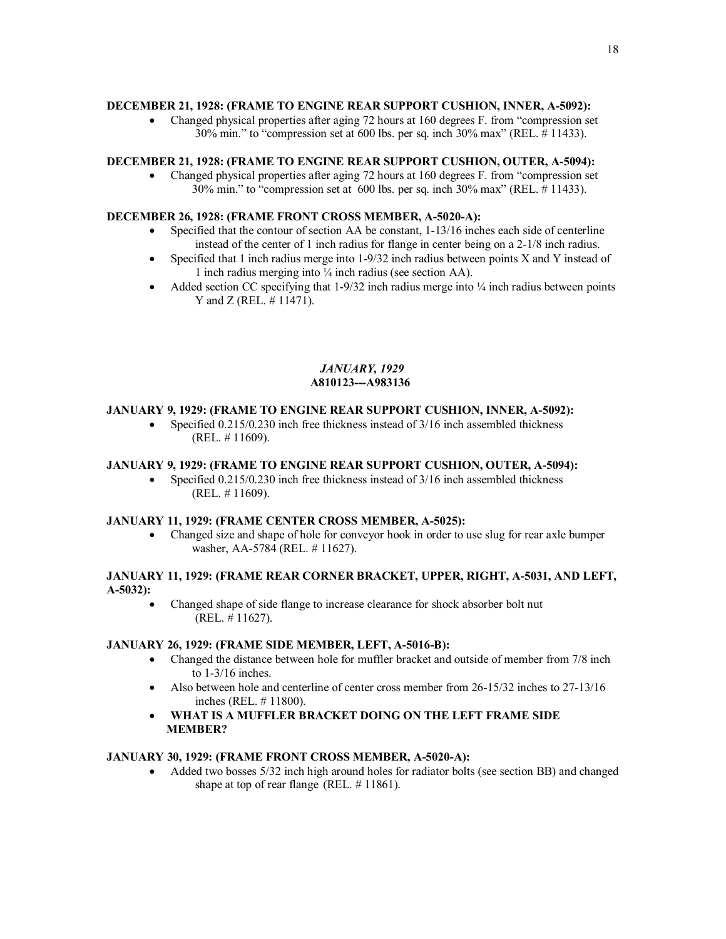# **DECEMBER 21, 1928: (FRAME TO ENGINE REAR SUPPORT CUSHION, INNER, A-5092):**

• Changed physical properties after aging 72 hours at 160 degrees F. from "compression set" 30% min." to "compression set at 600 lbs. per sq. inch 30% max" (REL. # 11433).

# **DECEMBER 21, 1928: (FRAME TO ENGINE REAR SUPPORT CUSHION, OUTER, A-5094):**

• Changed physical properties after aging 72 hours at 160 degrees F. from "compression set" 30% min." to "compression set at 600 lbs. per sq. inch 30% max" (REL. # 11433).

# **DECEMBER 26, 1928: (FRAME FRONT CROSS MEMBER, A-5020-A):**

- Specified that the contour of section AA be constant, 1-13/16 inches each side of centerline instead of the center of 1 inch radius for flange in center being on a 2-1/8 inch radius.
- Specified that 1 inch radius merge into  $1-9/32$  inch radius between points X and Y instead of 1 inch radius merging into ¼ inch radius (see section AA).
- Added section CC specifying that  $1-9/32$  inch radius merge into  $\frac{1}{4}$  inch radius between points Y and Z (REL. # 11471).

### *JANUARY, 1929*  **A810123---A983136**

# **JANUARY 9, 1929: (FRAME TO ENGINE REAR SUPPORT CUSHION, INNER, A-5092):**

• Specified 0.215/0.230 inch free thickness instead of 3/16 inch assembled thickness (REL. # 11609).

# **JANUARY 9, 1929: (FRAME TO ENGINE REAR SUPPORT CUSHION, OUTER, A-5094):**

• Specified  $0.215/0.230$  inch free thickness instead of  $3/16$  inch assembled thickness (REL. # 11609).

# **JANUARY 11, 1929: (FRAME CENTER CROSS MEMBER, A-5025):**

• Changed size and shape of hole for conveyor hook in order to use slug for rear axle bumper washer, AA-5784 (REL. # 11627).

# **JANUARY 11, 1929: (FRAME REAR CORNER BRACKET, UPPER, RIGHT, A-5031, AND LEFT, A-5032):**

· Changed shape of side flange to increase clearance for shock absorber bolt nut (REL. # 11627).

# **JANUARY 26, 1929: (FRAME SIDE MEMBER, LEFT, A-5016-B):**

- · Changed the distance between hole for muffler bracket and outside of member from 7/8 inch to 1-3/16 inches.
- Also between hole and centerline of center cross member from 26-15/32 inches to 27-13/16 inches (REL. # 11800).
- · **WHAT IS A MUFFLER BRACKET DOING ON THE LEFT FRAME SIDE MEMBER?**

# **JANUARY 30, 1929: (FRAME FRONT CROSS MEMBER, A-5020-A):**

Added two bosses 5/32 inch high around holes for radiator bolts (see section BB) and changed shape at top of rear flange (REL. # 11861).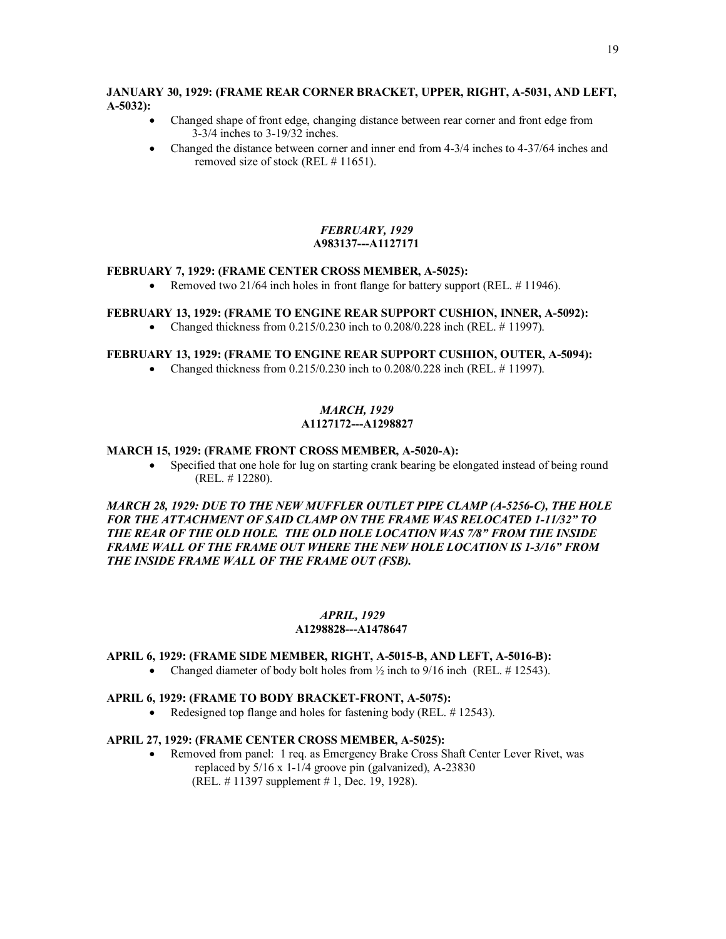# **JANUARY 30, 1929: (FRAME REAR CORNER BRACKET, UPPER, RIGHT, A-5031, AND LEFT, A-5032):**

- · Changed shape of front edge, changing distance between rear corner and front edge from 3-3/4 inches to 3-19/32 inches.
- Changed the distance between corner and inner end from 4-3/4 inches to 4-37/64 inches and removed size of stock (REL # 11651).

# *FEBRUARY, 1929*   **A983137---A1127171**

# **FEBRUARY 7, 1929: (FRAME CENTER CROSS MEMBER, A-5025):**

• Removed two  $21/64$  inch holes in front flange for battery support (REL,  $\# 11946$ ).

# **FEBRUARY 13, 1929: (FRAME TO ENGINE REAR SUPPORT CUSHION, INNER, A-5092):**

• Changed thickness from  $0.215/0.230$  inch to  $0.208/0.228$  inch (REL.  $\#$  11997).

## **FEBRUARY 13, 1929: (FRAME TO ENGINE REAR SUPPORT CUSHION, OUTER, A-5094):**

• Changed thickness from  $0.215/0.230$  inch to  $0.208/0.228$  inch (REL. # 11997).

# *MARCH, 1929*  **A1127172---A1298827**

### **MARCH 15, 1929: (FRAME FRONT CROSS MEMBER, A-5020-A):**

• Specified that one hole for lug on starting crank bearing be elongated instead of being round (REL. # 12280).

*MARCH 28, 1929: DUE TO THE NEW MUFFLER OUTLET PIPE CLAMP (A-5256-C), THE HOLE FOR THE ATTACHMENT OF SAID CLAMP ON THE FRAME WAS RELOCATED 1-11/32" TO THE REAR OF THE OLD HOLE. THE OLD HOLE LOCATION WAS 7/8" FROM THE INSIDE FRAME WALL OF THE FRAME OUT WHERE THE NEW HOLE LOCATION IS 1-3/16" FROM THE INSIDE FRAME WALL OF THE FRAME OUT (FSB).* 

### *APRIL, 1929*  **A1298828---A1478647**

# **APRIL 6, 1929: (FRAME SIDE MEMBER, RIGHT, A-5015-B, AND LEFT, A-5016-B):**

• Changed diameter of body bolt holes from  $\frac{1}{2}$  inch to 9/16 inch (REL, #12543).

### **APRIL 6, 1929: (FRAME TO BODY BRACKET-FRONT, A-5075):**

• Redesigned top flange and holes for fastening body (REL, #12543).

# **APRIL 27, 1929: (FRAME CENTER CROSS MEMBER, A-5025):**

· Removed from panel: 1 req. as Emergency Brake Cross Shaft Center Lever Rivet, was replaced by 5/16 x 1-1/4 groove pin (galvanized), A-23830 (REL. # 11397 supplement # 1, Dec. 19, 1928).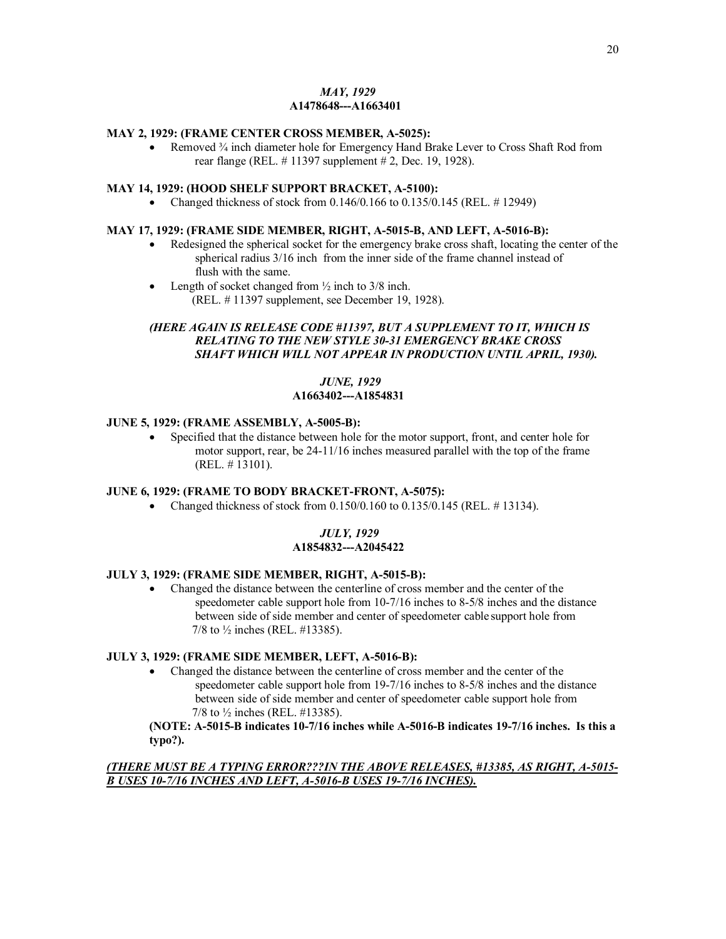# *MAY, 1929*   **A1478648---A1663401**

### **MAY 2, 1929: (FRAME CENTER CROSS MEMBER, A-5025):**

• Removed  $\frac{3}{4}$  inch diameter hole for Emergency Hand Brake Lever to Cross Shaft Rod from rear flange (REL. # 11397 supplement # 2, Dec. 19, 1928).

# **MAY 14, 1929: (HOOD SHELF SUPPORT BRACKET, A-5100):**

• Changed thickness of stock from  $0.146/0.166$  to  $0.135/0.145$  (REL.  $\#$  12949)

# **MAY 17, 1929: (FRAME SIDE MEMBER, RIGHT, A-5015-B, AND LEFT, A-5016-B):**

- · Redesigned the spherical socket for the emergency brake cross shaft, locating the center of the spherical radius 3/16 inch from the inner side of the frame channel instead of flush with the same.
- Length of socket changed from  $\frac{1}{2}$  inch to 3/8 inch. (REL. # 11397 supplement, see December 19, 1928).

# *(HERE AGAIN IS RELEASE CODE #11397, BUT A SUPPLEMENT TO IT, WHICH IS RELATING TO THE NEW STYLE 30-31 EMERGENCY BRAKE CROSS SHAFT WHICH WILL NOT APPEAR IN PRODUCTION UNTIL APRIL, 1930).*

### *JUNE, 1929*  **A1663402---A1854831**

### **JUNE 5, 1929: (FRAME ASSEMBLY, A-5005-B):**

· Specified that the distance between hole for the motor support, front, and center hole for motor support, rear, be 24-11/16 inches measured parallel with the top of the frame (REL. # 13101).

# **JUNE 6, 1929: (FRAME TO BODY BRACKET-FRONT, A-5075):**

• Changed thickness of stock from  $0.150/0.160$  to  $0.135/0.145$  (REL. # 13134).

# *JULY, 1929*   **A1854832---A2045422**

### **JULY 3, 1929: (FRAME SIDE MEMBER, RIGHT, A-5015-B):**

· Changed the distance between the centerline of cross member and the center of the speedometer cable support hole from 10-7/16 inches to 8-5/8 inches and the distance between side of side member and center of speedometer cable support hole from 7/8 to ½ inches (REL. #13385).

### **JULY 3, 1929: (FRAME SIDE MEMBER, LEFT, A-5016-B):**

· Changed the distance between the centerline of cross member and the center of the speedometer cable support hole from 19-7/16 inches to 8-5/8 inches and the distance between side of side member and center of speedometer cable support hole from 7/8 to ½ inches (REL. #13385).

# **(NOTE: A-5015-B indicates 10-7/16 inches while A-5016-B indicates 19-7/16 inches. Is this a typo?).**

# *(THERE MUST BE A TYPING ERROR???IN THE ABOVE RELEASES, #13385, AS RIGHT, A-5015- B USES 10-7/16 INCHES AND LEFT, A-5016-B USES 19-7/16 INCHES).*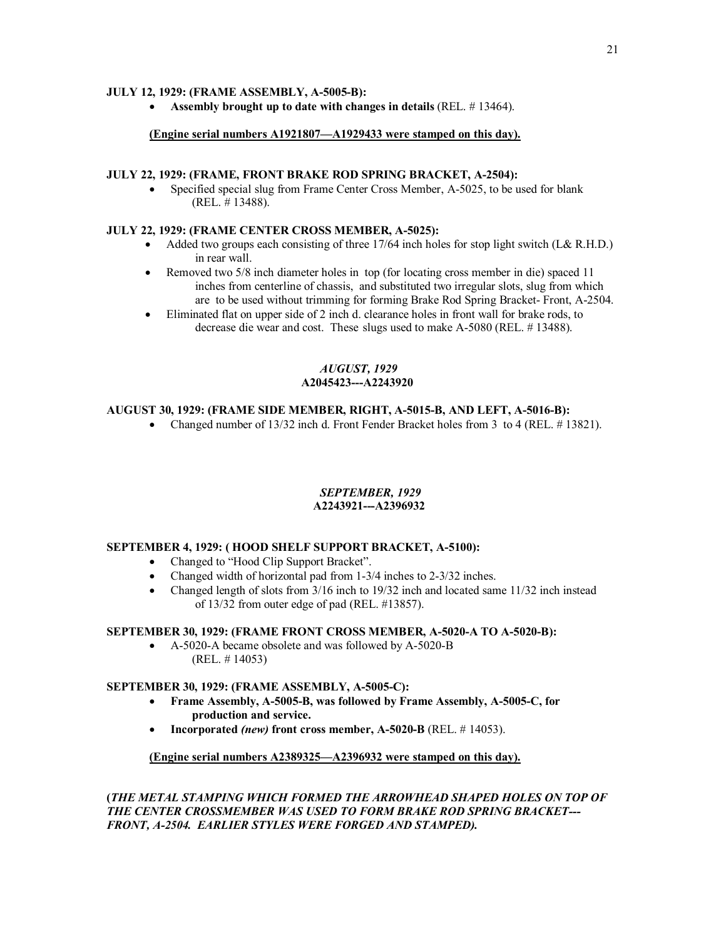# **JULY 12, 1929: (FRAME ASSEMBLY, A-5005-B):**

· **Assembly brought up to date with changes in details** (REL. # 13464).

# **(Engine serial numbers A1921807—A1929433 were stamped on this day).**

### **JULY 22, 1929: (FRAME, FRONT BRAKE ROD SPRING BRACKET, A-2504):**

Specified special slug from Frame Center Cross Member, A-5025, to be used for blank (REL. # 13488).

### **JULY 22, 1929: (FRAME CENTER CROSS MEMBER, A-5025):**

- Added two groups each consisting of three  $17/64$  inch holes for stop light switch (L& R.H.D.) in rear wall.
- Removed two 5/8 inch diameter holes in top (for locating cross member in die) spaced 11 inches from centerline of chassis, and substituted two irregular slots, slug from which are to be used without trimming for forming Brake Rod Spring Bracket- Front, A-2504.
- · Eliminated flat on upper side of 2 inch d. clearance holes in front wall for brake rods, to decrease die wear and cost. These slugs used to make A-5080 (REL. # 13488).

### *AUGUST, 1929*  **A2045423---A2243920**

# **AUGUST 30, 1929: (FRAME SIDE MEMBER, RIGHT, A-5015-B, AND LEFT, A-5016-B):**

• Changed number of 13/32 inch d. Front Fender Bracket holes from 3 to 4 (REL. # 13821).

# *SEPTEMBER, 1929*

# **A2243921---A2396932**

### **SEPTEMBER 4, 1929: ( HOOD SHELF SUPPORT BRACKET, A-5100):**

- · Changed to "Hood Clip Support Bracket".
- Changed width of horizontal pad from 1-3/4 inches to 2-3/32 inches.
- Changed length of slots from  $3/16$  inch to  $19/32$  inch and located same  $11/32$  inch instead of 13/32 from outer edge of pad (REL. #13857).

### **SEPTEMBER 30, 1929: (FRAME FRONT CROSS MEMBER, A-5020-A TO A-5020-B):**

· A-5020-A became obsolete and was followed by A-5020-B (REL. # 14053)

### **SEPTEMBER 30, 1929: (FRAME ASSEMBLY, A-5005-C):**

- · **Frame Assembly, A-5005-B, was followed by Frame Assembly, A-5005-C, for production and service.**
- · **Incorporated** *(new)* **front cross member, A-5020-B** (REL. # 14053).

# **(Engine serial numbers A2389325—A2396932 were stamped on this day).**

**(***THE METAL STAMPING WHICH FORMED THE ARROWHEAD SHAPED HOLES ON TOP OF THE CENTER CROSSMEMBER WAS USED TO FORM BRAKE ROD SPRING BRACKET--- FRONT, A-2504. EARLIER STYLES WERE FORGED AND STAMPED).*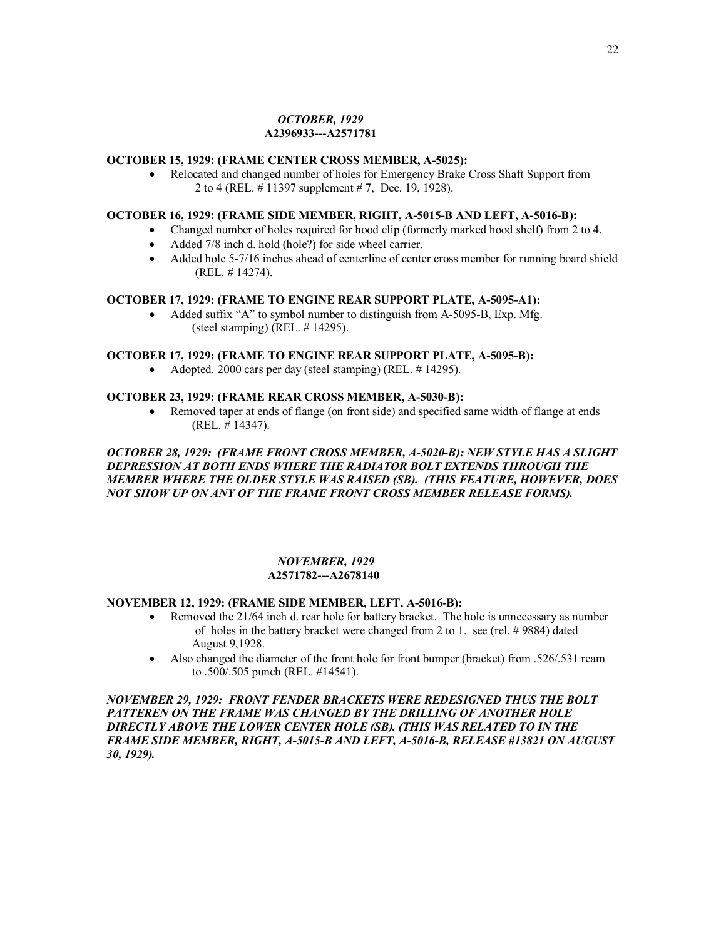#### *OCTOBER, 1929*   **A2396933---A2571781**

# **OCTOBER 15, 1929: (FRAME CENTER CROSS MEMBER, A-5025):**

· Relocated and changed number of holes for Emergency Brake Cross Shaft Support from 2 to 4 (REL. # 11397 supplement # 7, Dec. 19, 1928).

# **OCTOBER 16, 1929: (FRAME SIDE MEMBER, RIGHT, A-5015-B AND LEFT, A-5016-B):**

- · Changed number of holes required for hood clip (formerly marked hood shelf) from 2 to 4.
	- Added 7/8 inch d. hold (hole?) for side wheel carrier.
	- · Added hole 5-7/16 inches ahead of centerline of center cross member for running board shield (REL. # 14274).

### **OCTOBER 17, 1929: (FRAME TO ENGINE REAR SUPPORT PLATE, A-5095-A1):**

Added suffix "A" to symbol number to distinguish from A-5095-B, Exp. Mfg. (steel stamping) (REL. # 14295).

### **OCTOBER 17, 1929: (FRAME TO ENGINE REAR SUPPORT PLATE, A-5095-B):**

• Adopted. 2000 cars per day (steel stamping) (REL.  $\#$  14295).

### **OCTOBER 23, 1929: (FRAME REAR CROSS MEMBER, A-5030-B):**

· Removed taper at ends of flange (on front side) and specified same width of flange at ends (REL. # 14347).

### *OCTOBER 28, 1929: (FRAME FRONT CROSS MEMBER, A-5020-B): NEW STYLE HAS A SLIGHT DEPRESSION AT BOTH ENDS WHERE THE RADIATOR BOLT EXTENDS THROUGH THE MEMBER WHERE THE OLDER STYLE WAS RAISED (SB). (THIS FEATURE, HOWEVER, DOES NOT SHOW UP ON ANY OF THE FRAME FRONT CROSS MEMBER RELEASE FORMS).*

### *NOVEMBER, 1929*  **A2571782---A2678140**

# **NOVEMBER 12, 1929: (FRAME SIDE MEMBER, LEFT, A-5016-B):**

- Removed the 21/64 inch d. rear hole for battery bracket. The hole is unnecessary as number of holes in the battery bracket were changed from 2 to 1. see (rel. # 9884) dated August 9,1928.
- Also changed the diameter of the front hole for front bumper (bracket) from .526/.531 ream to .500/.505 punch (REL. #14541).

*NOVEMBER 29, 1929: FRONT FENDER BRACKETS WERE REDESIGNED THUS THE BOLT PATTEREN ON THE FRAME WAS CHANGED BY THE DRILLING OF ANOTHER HOLE DIRECTLY ABOVE THE LOWER CENTER HOLE (SB). (THIS WAS RELATED TO IN THE FRAME SIDE MEMBER, RIGHT, A-5015-B AND LEFT, A-5016-B, RELEASE #13821 ON AUGUST 30, 1929).*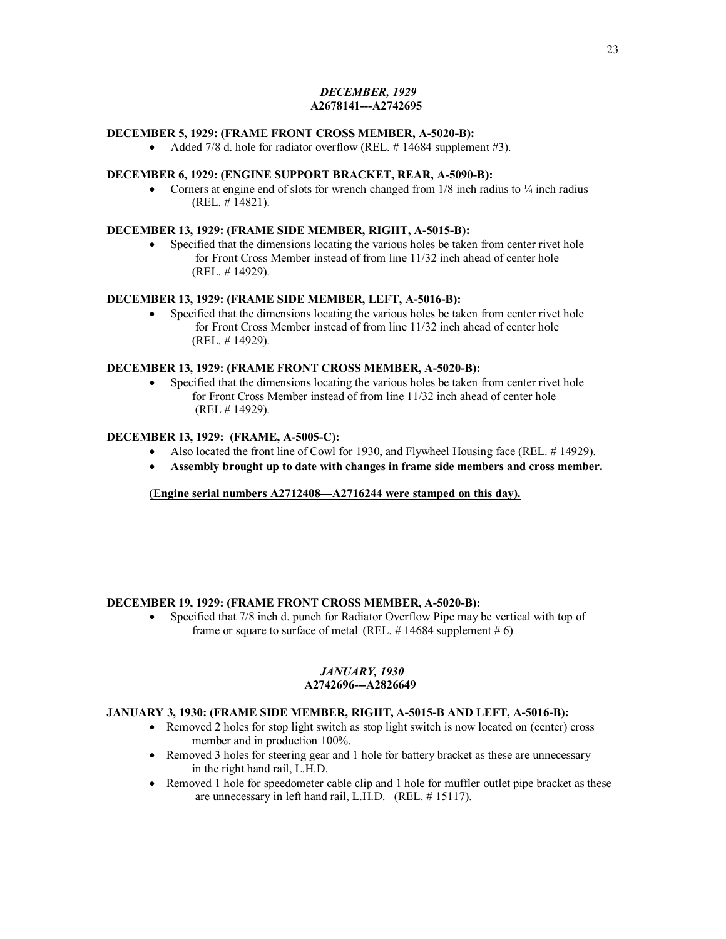# *DECEMBER, 1929*   **A2678141---A2742695**

### **DECEMBER 5, 1929: (FRAME FRONT CROSS MEMBER, A-5020-B):**

• Added 7/8 d. hole for radiator overflow (REL.  $\#$  14684 supplement  $\#3$ ).

### **DECEMBER 6, 1929: (ENGINE SUPPORT BRACKET, REAR, A-5090-B):**

• Corners at engine end of slots for wrench changed from  $1/8$  inch radius to  $\frac{1}{4}$  inch radius (REL. # 14821).

### **DECEMBER 13, 1929: (FRAME SIDE MEMBER, RIGHT, A-5015-B):**

• Specified that the dimensions locating the various holes be taken from center rivet hole for Front Cross Member instead of from line 11/32 inch ahead of center hole (REL. # 14929).

# **DECEMBER 13, 1929: (FRAME SIDE MEMBER, LEFT, A-5016-B):**

• Specified that the dimensions locating the various holes be taken from center rivet hole for Front Cross Member instead of from line 11/32 inch ahead of center hole (REL. # 14929).

#### **DECEMBER 13, 1929: (FRAME FRONT CROSS MEMBER, A-5020-B):**

• Specified that the dimensions locating the various holes be taken from center rivet hole for Front Cross Member instead of from line 11/32 inch ahead of center hole (REL # 14929).

# **DECEMBER 13, 1929: (FRAME, A-5005-C):**

- Also located the front line of Cowl for 1930, and Flywheel Housing face (REL, #14929).
- · **Assembly brought up to date with changes in frame side members and cross member.**

**(Engine serial numbers A2712408—A2716244 were stamped on this day).**

### **DECEMBER 19, 1929: (FRAME FRONT CROSS MEMBER, A-5020-B):**

• Specified that 7/8 inch d. punch for Radiator Overflow Pipe may be vertical with top of frame or square to surface of metal (REL.  $\#$  14684 supplement  $\#$  6)

#### *JANUARY, 1930*   **A2742696---A2826649**

### **JANUARY 3, 1930: (FRAME SIDE MEMBER, RIGHT, A-5015-B AND LEFT, A-5016-B):**

- Removed 2 holes for stop light switch as stop light switch is now located on (center) cross member and in production 100%.
- Removed 3 holes for steering gear and 1 hole for battery bracket as these are unnecessary in the right hand rail, L.H.D.
- Removed 1 hole for speedometer cable clip and 1 hole for muffler outlet pipe bracket as these are unnecessary in left hand rail, L.H.D. (REL. # 15117).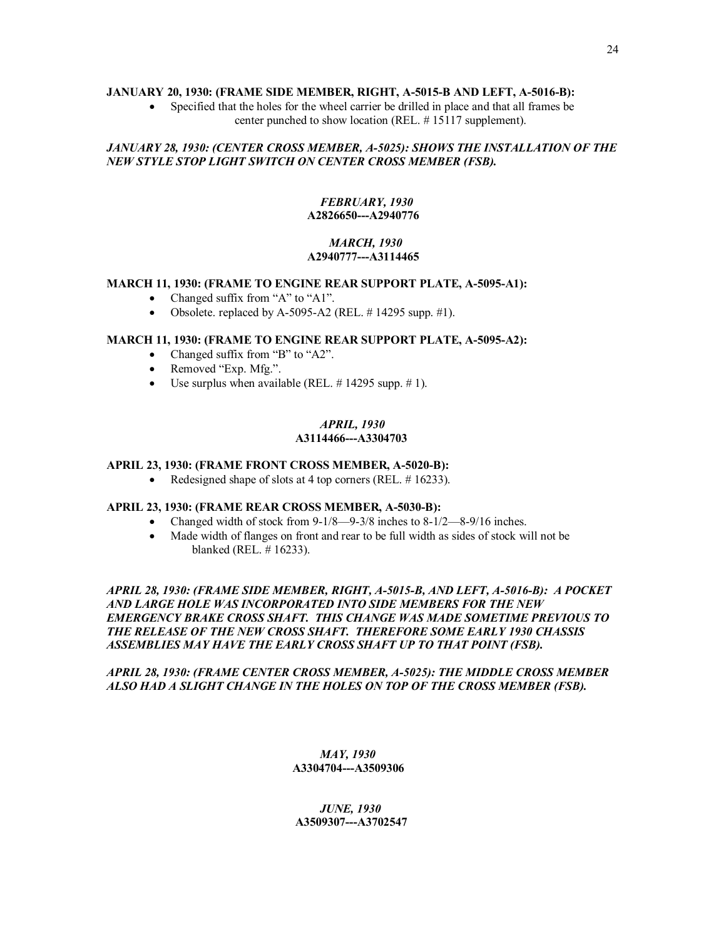### **JANUARY 20, 1930: (FRAME SIDE MEMBER, RIGHT, A-5015-B AND LEFT, A-5016-B):**

· Specified that the holes for the wheel carrier be drilled in place and that all frames be center punched to show location (REL. # 15117 supplement).

# *JANUARY 28, 1930: (CENTER CROSS MEMBER, A-5025): SHOWS THE INSTALLATION OF THE NEW STYLE STOP LIGHT SWITCH ON CENTER CROSS MEMBER (FSB).*

# *FEBRUARY, 1930*  **A2826650---A2940776**

# *MARCH, 1930*  **A2940777---A3114465**

### **MARCH 11, 1930: (FRAME TO ENGINE REAR SUPPORT PLATE, A-5095-A1):**

- Changed suffix from "A" to "A1".
- Obsolete. replaced by A-5095-A2 (REL.  $\#$  14295 supp.  $\#$ 1).

### **MARCH 11, 1930: (FRAME TO ENGINE REAR SUPPORT PLATE, A-5095-A2):**

- Changed suffix from "B" to "A2".
- Removed "Exp. Mfg.".
- Use surplus when available (REL.  $\#$  14295 supp.  $\#$  1).

### *APRIL, 1930*   **A3114466---A3304703**

# **APRIL 23, 1930: (FRAME FRONT CROSS MEMBER, A-5020-B):**

• Redesigned shape of slots at 4 top corners (REL.  $\#$  16233).

# **APRIL 23, 1930: (FRAME REAR CROSS MEMBER, A-5030-B):**

- Changed width of stock from  $9-1/8$ —9-3/8 inches to  $8-1/2$ —8-9/16 inches.
- · Made width of flanges on front and rear to be full width as sides of stock will not be blanked (REL. # 16233).

*APRIL 28, 1930: (FRAME SIDE MEMBER, RIGHT, A-5015-B, AND LEFT, A-5016-B): A POCKET AND LARGE HOLE WAS INCORPORATED INTO SIDE MEMBERS FOR THE NEW EMERGENCY BRAKE CROSS SHAFT. THIS CHANGE WAS MADE SOMETIME PREVIOUS TO THE RELEASE OF THE NEW CROSS SHAFT. THEREFORE SOME EARLY 1930 CHASSIS ASSEMBLIES MAY HAVE THE EARLY CROSS SHAFT UP TO THAT POINT (FSB).* 

### *APRIL 28, 1930: (FRAME CENTER CROSS MEMBER, A-5025): THE MIDDLE CROSS MEMBER ALSO HAD A SLIGHT CHANGE IN THE HOLES ON TOP OF THE CROSS MEMBER (FSB).*

### *MAY, 1930* **A3304704---A3509306**

 *JUNE, 1930* **A3509307---A3702547**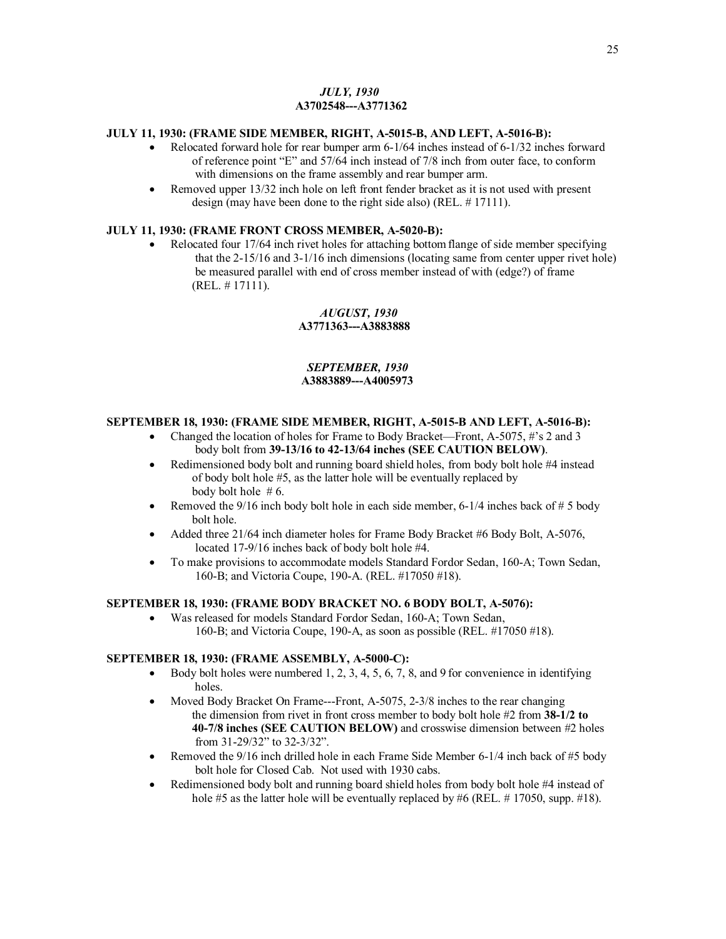# *JULY, 1930*  **A3702548---A3771362**

# **JULY 11, 1930: (FRAME SIDE MEMBER, RIGHT, A-5015-B, AND LEFT, A-5016-B):**

- · Relocated forward hole for rear bumper arm 6-1/64 inches instead of 6-1/32 inches forward of reference point "E" and 57/64 inch instead of 7/8 inch from outer face, to conform with dimensions on the frame assembly and rear bumper arm.
- Removed upper 13/32 inch hole on left front fender bracket as it is not used with present design (may have been done to the right side also) (REL. # 17111).

# **JULY 11, 1930: (FRAME FRONT CROSS MEMBER, A-5020-B):**

• Relocated four 17/64 inch rivet holes for attaching bottom flange of side member specifying that the 2-15/16 and 3-1/16 inch dimensions (locating same from center upper rivet hole) be measured parallel with end of cross member instead of with (edge?) of frame (REL. # 17111).

#### *AUGUST, 1930*  **A3771363---A3883888**

### *SEPTEMBER, 1930* **A3883889---A4005973**

### **SEPTEMBER 18, 1930: (FRAME SIDE MEMBER, RIGHT, A-5015-B AND LEFT, A-5016-B):**

- · Changed the location of holes for Frame to Body Bracket—Front, A-5075, #'s 2 and 3 body bolt from **39-13/16 to 42-13/64 inches (SEE CAUTION BELOW)**.
- · Redimensioned body bolt and running board shield holes, from body bolt hole #4 instead of body bolt hole #5, as the latter hole will be eventually replaced by body bolt hole  $# 6$ .
- Removed the  $9/16$  inch body bolt hole in each side member, 6-1/4 inches back of # 5 body bolt hole.
- Added three 21/64 inch diameter holes for Frame Body Bracket #6 Body Bolt, A-5076, located 17-9/16 inches back of body bolt hole #4.
- · To make provisions to accommodate models Standard Fordor Sedan, 160-A; Town Sedan, 160-B; and Victoria Coupe, 190-A. (REL. #17050 #18).

### **SEPTEMBER 18, 1930: (FRAME BODY BRACKET NO. 6 BODY BOLT, A-5076):**

· Was released for models Standard Fordor Sedan, 160-A; Town Sedan, 160-B; and Victoria Coupe, 190-A, as soon as possible (REL. #17050 #18).

### **SEPTEMBER 18, 1930: (FRAME ASSEMBLY, A-5000-C):**

- Body bolt holes were numbered 1, 2, 3, 4, 5, 6, 7, 8, and 9 for convenience in identifying holes.
- Moved Body Bracket On Frame---Front, A-5075, 2-3/8 inches to the rear changing the dimension from rivet in front cross member to body bolt hole #2 from **38-1/2 to 40-7/8 inches (SEE CAUTION BELOW)** and crosswise dimension between #2 holes from 31-29/32" to 32-3/32".
- Removed the 9/16 inch drilled hole in each Frame Side Member 6-1/4 inch back of #5 body bolt hole for Closed Cab. Not used with 1930 cabs.
- Redimensioned body bolt and running board shield holes from body bolt hole #4 instead of hole #5 as the latter hole will be eventually replaced by #6 (REL. # 17050, supp. #18).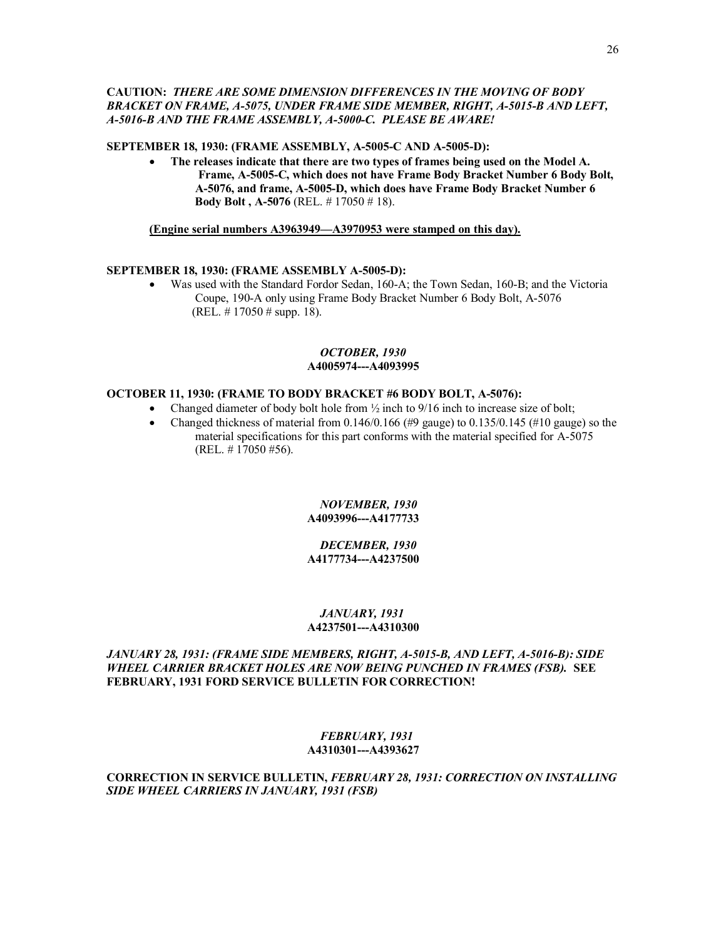# **CAUTION:** *THERE ARE SOME DIMENSION DIFFERENCES IN THE MOVING OF BODY BRACKET ON FRAME, A-5075, UNDER FRAME SIDE MEMBER, RIGHT, A-5015-B AND LEFT, A-5016-B AND THE FRAME ASSEMBLY, A-5000-C. PLEASE BE AWARE!*

#### **SEPTEMBER 18, 1930: (FRAME ASSEMBLY, A-5005-C AND A-5005-D):**

· **The releases indicate that there are two types of frames being used on the Model A. Frame, A-5005-C, which does not have Frame Body Bracket Number 6 Body Bolt, A-5076, and frame, A-5005-D, which does have Frame Body Bracket Number 6 Body Bolt , A-5076** (REL. # 17050 # 18).

**(Engine serial numbers A3963949—A3970953 were stamped on this day).**

### **SEPTEMBER 18, 1930: (FRAME ASSEMBLY A-5005-D):**

· Was used with the Standard Fordor Sedan, 160-A; the Town Sedan, 160-B; and the Victoria Coupe, 190-A only using Frame Body Bracket Number 6 Body Bolt, A-5076 (REL. # 17050 # supp. 18).

#### *OCTOBER, 1930*  **A4005974---A4093995**

#### **OCTOBER 11, 1930: (FRAME TO BODY BRACKET #6 BODY BOLT, A-5076):**

- Changed diameter of body bolt hole from  $\frac{1}{2}$  inch to 9/16 inch to increase size of bolt;
- Changed thickness of material from 0.146/0.166 (#9 gauge) to 0.135/0.145 (#10 gauge) so the material specifications for this part conforms with the material specified for A-5075  $(REL. # 17050 #56).$

### *NOVEMBER, 1930*  **A4093996---A4177733**

#### *DECEMBER, 1930*  **A4177734---A4237500**

#### *JANUARY, 1931*   **A4237501---A4310300**

*JANUARY 28, 1931: (FRAME SIDE MEMBERS, RIGHT, A-5015-B, AND LEFT, A-5016-B): SIDE WHEEL CARRIER BRACKET HOLES ARE NOW BEING PUNCHED IN FRAMES (FSB).* **SEE FEBRUARY, 1931 FORD SERVICE BULLETIN FOR CORRECTION!** 

### *FEBRUARY, 1931*  **A4310301---A4393627**

**CORRECTION IN SERVICE BULLETIN,** *FEBRUARY 28, 1931: CORRECTION ON INSTALLING SIDE WHEEL CARRIERS IN JANUARY, 1931 (FSB)*